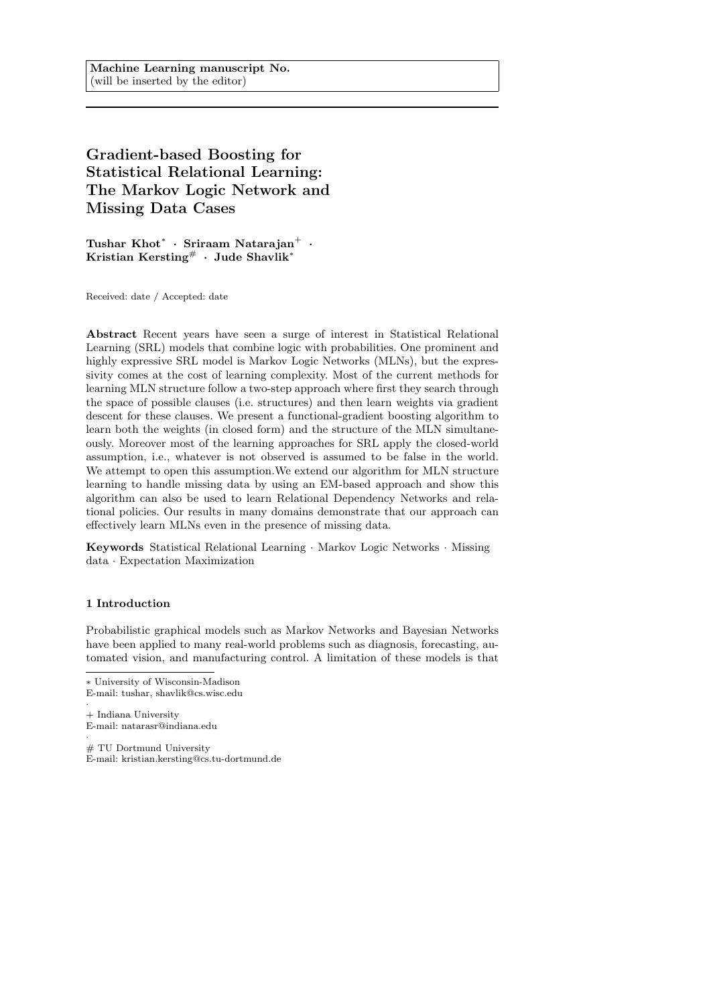# Gradient-based Boosting for Statistical Relational Learning: The Markov Logic Network and Missing Data Cases

Tushar  $\text{Khot}^* \cdot \text{Sriraam}$  Natarajan $^+ \cdot$ Kristian Kersting# · Jude Shavlik<sup>∗</sup>

Received: date / Accepted: date

Abstract Recent years have seen a surge of interest in Statistical Relational Learning (SRL) models that combine logic with probabilities. One prominent and highly expressive SRL model is Markov Logic Networks (MLNs), but the expressivity comes at the cost of learning complexity. Most of the current methods for learning MLN structure follow a two-step approach where first they search through the space of possible clauses (i.e. structures) and then learn weights via gradient descent for these clauses. We present a functional-gradient boosting algorithm to learn both the weights (in closed form) and the structure of the MLN simultaneously. Moreover most of the learning approaches for SRL apply the closed-world assumption, i.e., whatever is not observed is assumed to be false in the world. We attempt to open this assumption.We extend our algorithm for MLN structure learning to handle missing data by using an EM-based approach and show this algorithm can also be used to learn Relational Dependency Networks and relational policies. Our results in many domains demonstrate that our approach can effectively learn MLNs even in the presence of missing data.

Keywords Statistical Relational Learning · Markov Logic Networks · Missing data · Expectation Maximization

#### 1 Introduction

Probabilistic graphical models such as Markov Networks and Bayesian Networks have been applied to many real-world problems such as diagnosis, forecasting, automated vision, and manufacturing control. A limitation of these models is that

- · + Indiana University E-mail: natarasr@indiana.edu
- · # TU Dortmund University E-mail: kristian.kersting@cs.tu-dortmund.de

<sup>∗</sup> University of Wisconsin-Madison E-mail: tushar, shavlik@cs.wisc.edu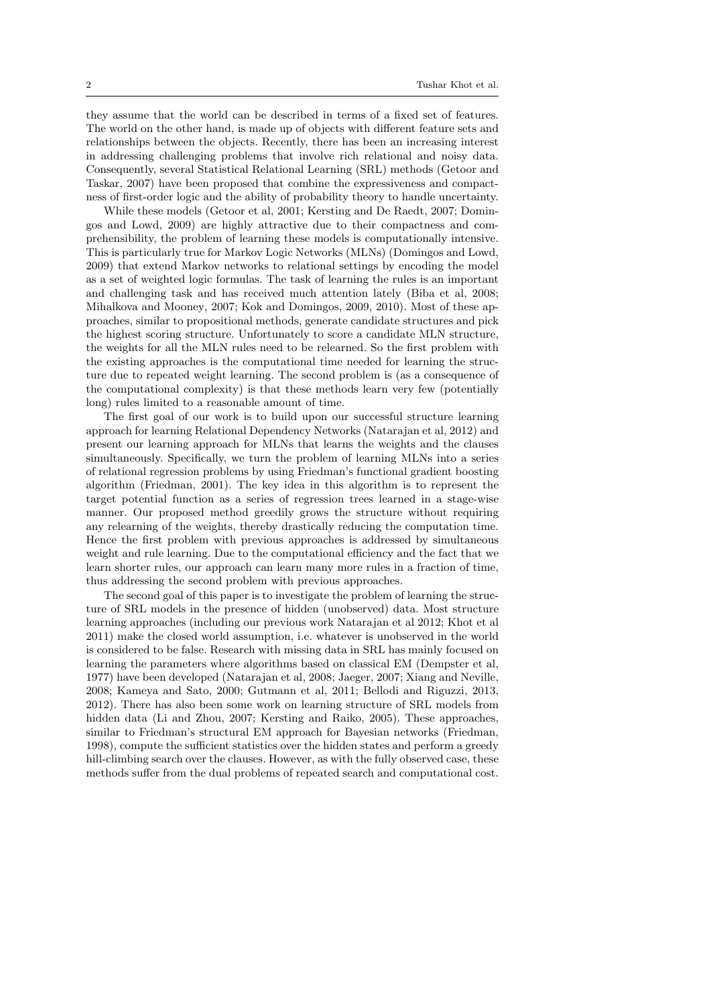they assume that the world can be described in terms of a fixed set of features. The world on the other hand, is made up of objects with different feature sets and relationships between the objects. Recently, there has been an increasing interest in addressing challenging problems that involve rich relational and noisy data. Consequently, several Statistical Relational Learning (SRL) methods (Getoor and Taskar, 2007) have been proposed that combine the expressiveness and compactness of first-order logic and the ability of probability theory to handle uncertainty.

While these models (Getoor et al, 2001; Kersting and De Raedt, 2007; Domingos and Lowd, 2009) are highly attractive due to their compactness and comprehensibility, the problem of learning these models is computationally intensive. This is particularly true for Markov Logic Networks (MLNs) (Domingos and Lowd, 2009) that extend Markov networks to relational settings by encoding the model as a set of weighted logic formulas. The task of learning the rules is an important and challenging task and has received much attention lately (Biba et al, 2008; Mihalkova and Mooney, 2007; Kok and Domingos, 2009, 2010). Most of these approaches, similar to propositional methods, generate candidate structures and pick the highest scoring structure. Unfortunately to score a candidate MLN structure, the weights for all the MLN rules need to be relearned. So the first problem with the existing approaches is the computational time needed for learning the structure due to repeated weight learning. The second problem is (as a consequence of the computational complexity) is that these methods learn very few (potentially long) rules limited to a reasonable amount of time.

The first goal of our work is to build upon our successful structure learning approach for learning Relational Dependency Networks (Natarajan et al, 2012) and present our learning approach for MLNs that learns the weights and the clauses simultaneously. Specifically, we turn the problem of learning MLNs into a series of relational regression problems by using Friedman's functional gradient boosting algorithm (Friedman, 2001). The key idea in this algorithm is to represent the target potential function as a series of regression trees learned in a stage-wise manner. Our proposed method greedily grows the structure without requiring any relearning of the weights, thereby drastically reducing the computation time. Hence the first problem with previous approaches is addressed by simultaneous weight and rule learning. Due to the computational efficiency and the fact that we learn shorter rules, our approach can learn many more rules in a fraction of time, thus addressing the second problem with previous approaches.

The second goal of this paper is to investigate the problem of learning the structure of SRL models in the presence of hidden (unobserved) data. Most structure learning approaches (including our previous work Natarajan et al 2012; Khot et al 2011) make the closed world assumption, i.e. whatever is unobserved in the world is considered to be false. Research with missing data in SRL has mainly focused on learning the parameters where algorithms based on classical EM (Dempster et al, 1977) have been developed (Natarajan et al, 2008; Jaeger, 2007; Xiang and Neville, 2008; Kameya and Sato, 2000; Gutmann et al, 2011; Bellodi and Riguzzi, 2013, 2012). There has also been some work on learning structure of SRL models from hidden data (Li and Zhou, 2007; Kersting and Raiko, 2005). These approaches, similar to Friedman's structural EM approach for Bayesian networks (Friedman, 1998), compute the sufficient statistics over the hidden states and perform a greedy hill-climbing search over the clauses. However, as with the fully observed case, these methods suffer from the dual problems of repeated search and computational cost.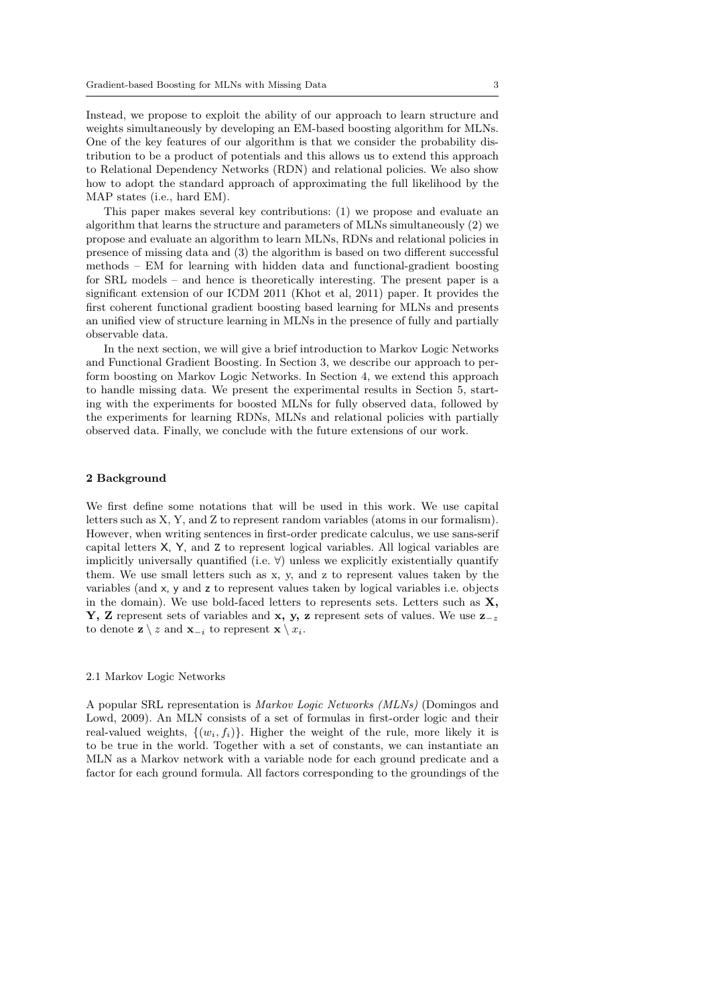Instead, we propose to exploit the ability of our approach to learn structure and weights simultaneously by developing an EM-based boosting algorithm for MLNs. One of the key features of our algorithm is that we consider the probability distribution to be a product of potentials and this allows us to extend this approach to Relational Dependency Networks (RDN) and relational policies. We also show how to adopt the standard approach of approximating the full likelihood by the MAP states (i.e., hard EM).

This paper makes several key contributions: (1) we propose and evaluate an algorithm that learns the structure and parameters of MLNs simultaneously (2) we propose and evaluate an algorithm to learn MLNs, RDNs and relational policies in presence of missing data and (3) the algorithm is based on two different successful methods – EM for learning with hidden data and functional-gradient boosting for SRL models – and hence is theoretically interesting. The present paper is a significant extension of our ICDM 2011 (Khot et al, 2011) paper. It provides the first coherent functional gradient boosting based learning for MLNs and presents an unified view of structure learning in MLNs in the presence of fully and partially observable data.

In the next section, we will give a brief introduction to Markov Logic Networks and Functional Gradient Boosting. In Section 3, we describe our approach to perform boosting on Markov Logic Networks. In Section 4, we extend this approach to handle missing data. We present the experimental results in Section 5, starting with the experiments for boosted MLNs for fully observed data, followed by the experiments for learning RDNs, MLNs and relational policies with partially observed data. Finally, we conclude with the future extensions of our work.

## 2 Background

We first define some notations that will be used in this work. We use capital letters such as X, Y, and Z to represent random variables (atoms in our formalism). However, when writing sentences in first-order predicate calculus, we use sans-serif capital letters X, Y, and Z to represent logical variables. All logical variables are implicitly universally quantified (i.e.  $\forall$ ) unless we explicitly existentially quantify them. We use small letters such as x, y, and z to represent values taken by the variables (and x, y and z to represent values taken by logical variables i.e. objects in the domain). We use bold-faced letters to represents sets. Letters such as  $X$ , Y, Z represent sets of variables and x, y, z represent sets of values. We use  $z_{-z}$ to denote  $\mathbf{z} \setminus z$  and  $\mathbf{x}_{-i}$  to represent  $\mathbf{x} \setminus x_i$ .

## 2.1 Markov Logic Networks

A popular SRL representation is Markov Logic Networks (MLNs) (Domingos and Lowd, 2009). An MLN consists of a set of formulas in first-order logic and their real-valued weights,  $\{(w_i, f_i)\}\$ . Higher the weight of the rule, more likely it is to be true in the world. Together with a set of constants, we can instantiate an MLN as a Markov network with a variable node for each ground predicate and a factor for each ground formula. All factors corresponding to the groundings of the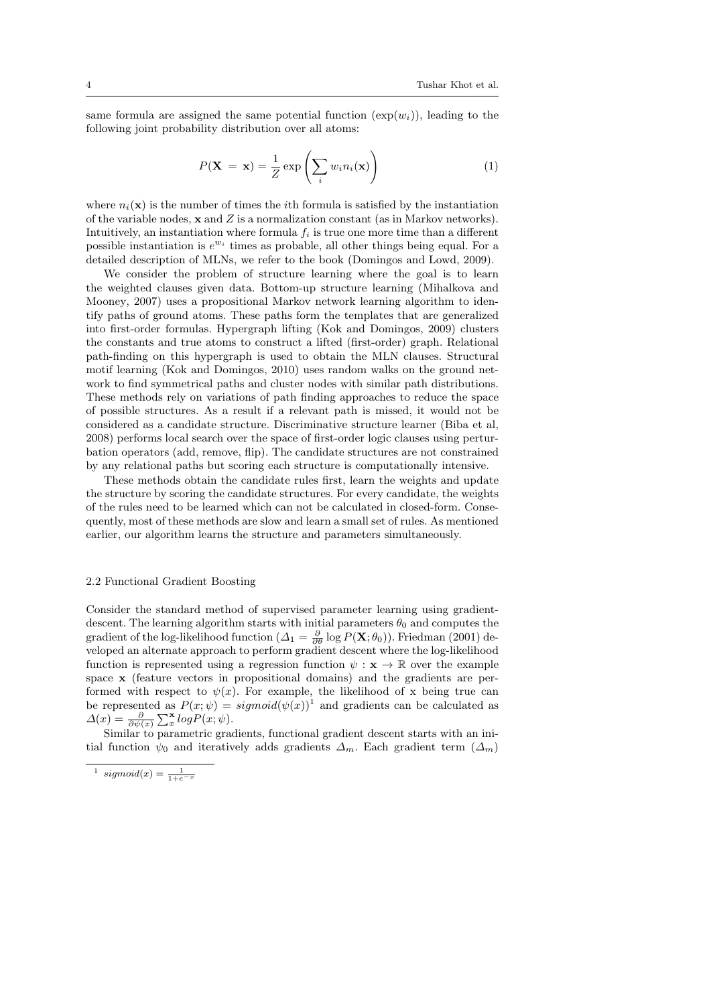same formula are assigned the same potential function  $(\exp(w_i))$ , leading to the following joint probability distribution over all atoms:

$$
P(\mathbf{X} = \mathbf{x}) = \frac{1}{Z} \exp\left(\sum_{i} w_i n_i(\mathbf{x})\right)
$$
(1)

where  $n_i(\mathbf{x})$  is the number of times the *i*th formula is satisfied by the instantiation of the variable nodes,  $x$  and  $Z$  is a normalization constant (as in Markov networks). Intuitively, an instantiation where formula  $f_i$  is true one more time than a different possible instantiation is  $e^{w_i}$  times as probable, all other things being equal. For a detailed description of MLNs, we refer to the book (Domingos and Lowd, 2009).

We consider the problem of structure learning where the goal is to learn the weighted clauses given data. Bottom-up structure learning (Mihalkova and Mooney, 2007) uses a propositional Markov network learning algorithm to identify paths of ground atoms. These paths form the templates that are generalized into first-order formulas. Hypergraph lifting (Kok and Domingos, 2009) clusters the constants and true atoms to construct a lifted (first-order) graph. Relational path-finding on this hypergraph is used to obtain the MLN clauses. Structural motif learning (Kok and Domingos, 2010) uses random walks on the ground network to find symmetrical paths and cluster nodes with similar path distributions. These methods rely on variations of path finding approaches to reduce the space of possible structures. As a result if a relevant path is missed, it would not be considered as a candidate structure. Discriminative structure learner (Biba et al, 2008) performs local search over the space of first-order logic clauses using perturbation operators (add, remove, flip). The candidate structures are not constrained by any relational paths but scoring each structure is computationally intensive.

These methods obtain the candidate rules first, learn the weights and update the structure by scoring the candidate structures. For every candidate, the weights of the rules need to be learned which can not be calculated in closed-form. Consequently, most of these methods are slow and learn a small set of rules. As mentioned earlier, our algorithm learns the structure and parameters simultaneously.

#### 2.2 Functional Gradient Boosting

Consider the standard method of supervised parameter learning using gradientdescent. The learning algorithm starts with initial parameters  $\theta_0$  and computes the gradient of the log-likelihood function ( $\Delta_1 = \frac{\partial}{\partial \theta} \log P(\mathbf{X}; \theta_0)$ ). Friedman (2001) developed an alternate approach to perform gradient descent where the log-likelihood function is represented using a regression function  $\psi : \mathbf{x} \to \mathbb{R}$  over the example space x (feature vectors in propositional domains) and the gradients are performed with respect to  $\psi(x)$ . For example, the likelihood of x being true can be represented as  $P(x; \psi) = sigmoid(\psi(x))^1$  and gradients can be calculated as  $\Delta(x) = \frac{\partial}{\partial \psi(x)} \sum_{x}^{\mathbf{x}} log P(x; \psi).$ 

Similar to parametric gradients, functional gradient descent starts with an initial function  $\psi_0$  and iteratively adds gradients  $\Delta_m$ . Each gradient term  $(\Delta_m)$ 

<sup>&</sup>lt;sup>1</sup> sigmoid(x) =  $\frac{1}{1+e^{-x}}$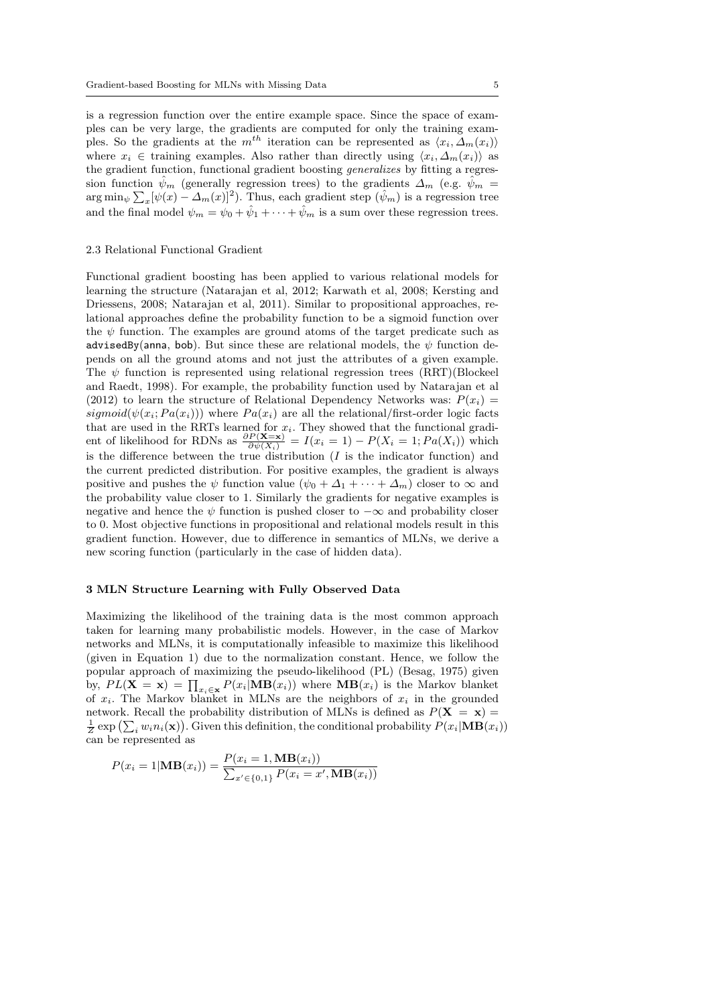is a regression function over the entire example space. Since the space of examples can be very large, the gradients are computed for only the training examples. So the gradients at the  $m^{th}$  iteration can be represented as  $\langle x_i, \Delta_m(x_i) \rangle$ where  $x_i \in$  training examples. Also rather than directly using  $\langle x_i, \Delta_m(x_i) \rangle$  as the gradient function, functional gradient boosting generalizes by fitting a regression function  $\psi_m$  (generally regression trees) to the gradients  $\Delta_m$  (e.g.  $\psi_m$  =  $\arg\min_{\psi} \sum_{x} [\psi(x) - \Delta_m(x)]^2$ . Thus, each gradient step  $(\hat{\psi}_m)$  is a regression tree and the final model  $\psi_m = \psi_0 + \hat{\psi}_1 + \cdots + \hat{\psi}_m$  is a sum over these regression trees.

#### 2.3 Relational Functional Gradient

Functional gradient boosting has been applied to various relational models for learning the structure (Natarajan et al, 2012; Karwath et al, 2008; Kersting and Driessens, 2008; Natarajan et al, 2011). Similar to propositional approaches, relational approaches define the probability function to be a sigmoid function over the  $\psi$  function. The examples are ground atoms of the target predicate such as advisedBy(anna, bob). But since these are relational models, the  $\psi$  function depends on all the ground atoms and not just the attributes of a given example. The  $\psi$  function is represented using relational regression trees (RRT)(Blockeel and Raedt, 1998). For example, the probability function used by Natarajan et al (2012) to learn the structure of Relational Dependency Networks was:  $P(x_i)$  = sigmoid( $\psi(x_i; Pa(x_i))$ ) where  $Pa(x_i)$  are all the relational/first-order logic facts that are used in the RRTs learned for  $x_i$ . They showed that the functional gradient of likelihood for RDNs as  $\frac{\partial P(\mathbf{X}=\mathbf{x})}{\partial \psi(X_i)} = I(x_i = 1) - P(X_i = 1; Pa(X_i))$  which is the difference between the true distribution  $(I$  is the indicator function) and the current predicted distribution. For positive examples, the gradient is always positive and pushes the  $\psi$  function value  $(\psi_0 + \Delta_1 + \cdots + \Delta_m)$  closer to  $\infty$  and the probability value closer to 1. Similarly the gradients for negative examples is negative and hence the  $\psi$  function is pushed closer to  $-\infty$  and probability closer to 0. Most objective functions in propositional and relational models result in this gradient function. However, due to difference in semantics of MLNs, we derive a new scoring function (particularly in the case of hidden data).

## 3 MLN Structure Learning with Fully Observed Data

Maximizing the likelihood of the training data is the most common approach taken for learning many probabilistic models. However, in the case of Markov networks and MLNs, it is computationally infeasible to maximize this likelihood (given in Equation 1) due to the normalization constant. Hence, we follow the popular approach of maximizing the pseudo-likelihood (PL) (Besag, 1975) given by,  $PL(X = x) = \prod_{x_i \in x} P(x_i | MB(x_i))$  where  $MB(x_i)$  is the Markov blanket of  $x_i$ . The Markov blanket in MLNs are the neighbors of  $x_i$  in the grounded network. Recall the probability distribution of MLNs is defined as  $P(X = x)$  $\frac{1}{Z}$  exp  $(\sum_i w_i n_i(\mathbf{x}))$ . Given this definition, the conditional probability  $P(x_i|\mathbf{MB}(x_i))$ can be represented as

$$
P(x_i = 1 | \mathbf{MB}(x_i)) = \frac{P(x_i = 1, \mathbf{MB}(x_i))}{\sum_{x' \in \{0, 1\}} P(x_i = x', \mathbf{MB}(x_i))}
$$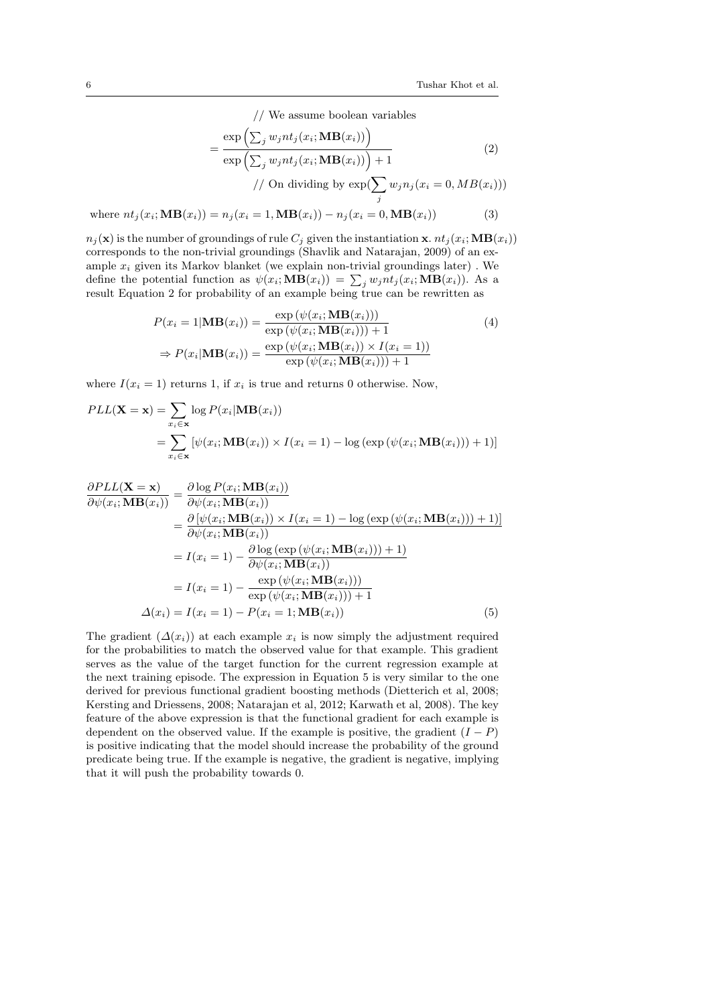// We assume boolean variables

$$
= \frac{\exp\left(\sum_{j} w_{j} nt_{j}(x_{i}; \mathbf{MB}(x_{i}))\right)}{\exp\left(\sum_{j} w_{j} nt_{j}(x_{i}; \mathbf{MB}(x_{i}))\right) + 1}
$$
\n
$$
// On dividing by \exp(\sum w_{j} n_{j}(x_{i} = 0, MB(x_{i})))
$$
\n(2)

j

where  $nt_j(x_i; \text{MB}(x_i)) = n_j(x_i = 1, \text{MB}(x_i)) - n_j(x_i = 0, \text{MB}(x_i))$  (3)

 $n_j(\mathbf{x})$  is the number of groundings of rule  $C_j$  given the instantiation  $\mathbf{x}$ .  $nt_j(x_i;\mathbf{MB}(x_i))$ corresponds to the non-trivial groundings (Shavlik and Natarajan, 2009) of an example  $x_i$  given its Markov blanket (we explain non-trivial groundings later) . We define the potential function as  $\psi(x_i; \mathbf{MB}(x_i)) = \sum_j w_j nt_j(x_i; \mathbf{MB}(x_i))$ . As a result Equation 2 for probability of an example being true can be rewritten as

$$
P(x_i = 1 | \mathbf{MB}(x_i)) = \frac{\exp(\psi(x_i; \mathbf{MB}(x_i)))}{\exp(\psi(x_i; \mathbf{MB}(x_i))) + 1}
$$
  
\n
$$
\Rightarrow P(x_i | \mathbf{MB}(x_i)) = \frac{\exp(\psi(x_i; \mathbf{MB}(x_i))) \times I(x_i = 1))}{\exp(\psi(x_i; \mathbf{MB}(x_i))) + 1}
$$
\n(4)

where  $I(x_i = 1)$  returns 1, if  $x_i$  is true and returns 0 otherwise. Now,

$$
PLL(\mathbf{X} = \mathbf{x}) = \sum_{x_i \in \mathbf{x}} \log P(x_i | \mathbf{MB}(x_i))
$$
  
= 
$$
\sum_{x_i \in \mathbf{x}} [\psi(x_i; \mathbf{MB}(x_i)) \times I(x_i = 1) - \log (\exp (\psi(x_i; \mathbf{MB}(x_i))) + 1)]
$$

$$
\frac{\partial PLL(\mathbf{X} = \mathbf{x})}{\partial \psi(x_i; \mathbf{MB}(x_i))} = \frac{\partial \log P(x_i; \mathbf{MB}(x_i))}{\partial \psi(x_i; \mathbf{MB}(x_i))}
$$
\n
$$
= \frac{\partial [\psi(x_i; \mathbf{MB}(x_i)) \times I(x_i = 1) - \log(\exp(\psi(x_i; \mathbf{MB}(x_i))) + 1)]}{\partial \psi(x_i; \mathbf{MB}(x_i))}
$$
\n
$$
= I(x_i = 1) - \frac{\partial \log(\exp(\psi(x_i; \mathbf{MB}(x_i))) + 1)}{\partial \psi(x_i; \mathbf{MB}(x_i))}
$$
\n
$$
= I(x_i = 1) - \frac{\exp(\psi(x_i; \mathbf{MB}(x_i)))}{\exp(\psi(x_i; \mathbf{MB}(x_i))) + 1}
$$
\n
$$
\Delta(x_i) = I(x_i = 1) - P(x_i = 1; \mathbf{MB}(x_i)) \tag{5}
$$

The gradient  $(\Delta(x_i))$  at each example  $x_i$  is now simply the adjustment required for the probabilities to match the observed value for that example. This gradient serves as the value of the target function for the current regression example at the next training episode. The expression in Equation 5 is very similar to the one derived for previous functional gradient boosting methods (Dietterich et al, 2008; Kersting and Driessens, 2008; Natarajan et al, 2012; Karwath et al, 2008). The key feature of the above expression is that the functional gradient for each example is dependent on the observed value. If the example is positive, the gradient  $(I - P)$ is positive indicating that the model should increase the probability of the ground predicate being true. If the example is negative, the gradient is negative, implying that it will push the probability towards 0.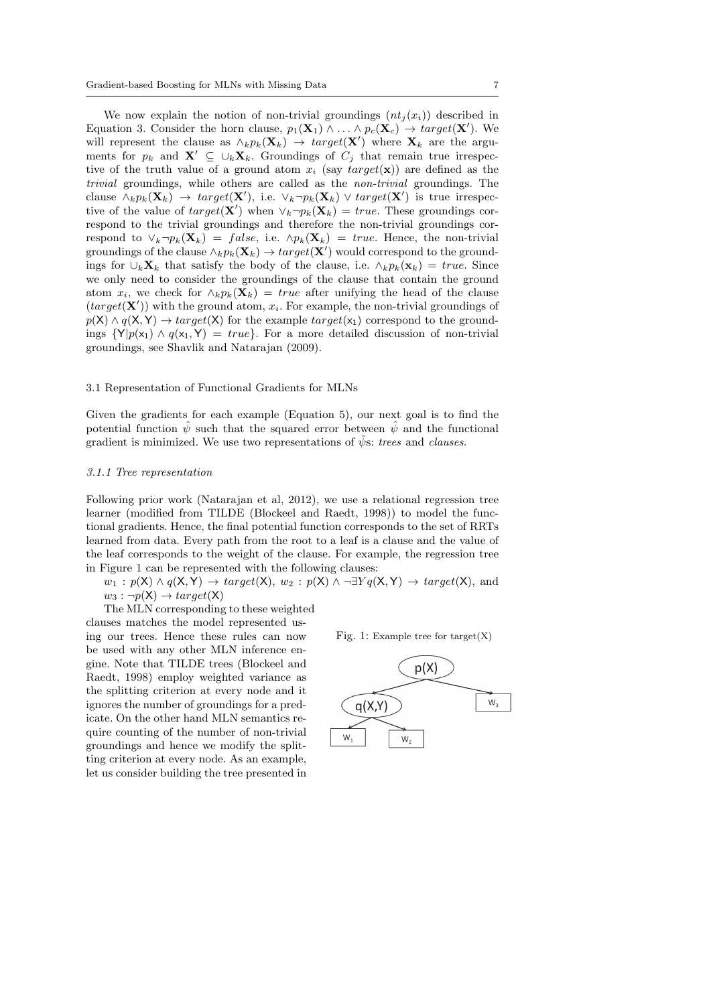We now explain the notion of non-trivial groundings  $(nt<sub>i</sub>(x<sub>i</sub>))$  described in Equation 3. Consider the horn clause,  $p_1(\mathbf{X}_1) \wedge \ldots \wedge p_c(\mathbf{X}_c) \rightarrow target(\mathbf{X}')$ . We will represent the clause as  $\wedge_k p_k(\mathbf{X}_k) \to \text{target}(\mathbf{X}')$  where  $\mathbf{X}_k$  are the arguments for  $p_k$  and  $\mathbf{X}' \subseteq \cup_k \mathbf{X}_k$ . Groundings of  $C_j$  that remain true irrespective of the truth value of a ground atom  $x_i$  (say  $target(\mathbf{x})$ ) are defined as the trivial groundings, while others are called as the non-trivial groundings. The clause  $\wedge_k p_k(\mathbf{X}_k) \to \text{target}(\mathbf{X}')$ , i.e.  $\vee_k \neg p_k(\mathbf{X}_k) \vee \text{target}(\mathbf{X}')$  is true irrespective of the value of  $target(\mathbf{X}')$  when  $\vee_k \neg p_k(\mathbf{X}_k) = true$ . These groundings correspond to the trivial groundings and therefore the non-trivial groundings correspond to  $\vee_k \neg p_k(\mathbf{X}_k) = false$ , i.e.  $\wedge p_k(\mathbf{X}_k) = true$ . Hence, the non-trivial groundings of the clause  $\wedge_k p_k(\mathbf{X}_k) \to target(\mathbf{X}')$  would correspond to the groundings for  $\cup_k \mathbf{X}_k$  that satisfy the body of the clause, i.e.  $\wedge_k p_k(\mathbf{x}_k) = true$ . Since we only need to consider the groundings of the clause that contain the ground atom  $x_i$ , we check for  $\wedge_k p_k(\mathbf{X}_k) = true$  after unifying the head of the clause  $(target(X'))$  with the ground atom,  $x_i$ . For example, the non-trivial groundings of  $p(X) \wedge q(X, Y) \rightarrow target(X)$  for the example  $target(x_1)$  correspond to the groundings  $\{Y|p(x_1) \wedge q(x_1, Y) = true\}$ . For a more detailed discussion of non-trivial groundings, see Shavlik and Natarajan (2009).

#### 3.1 Representation of Functional Gradients for MLNs

Given the gradients for each example (Equation 5), our next goal is to find the potential function  $\hat{\psi}$  such that the squared error between  $\hat{\psi}$  and the functional gradient is minimized. We use two representations of  $\hat{\psi}$ s: trees and clauses.

#### 3.1.1 Tree representation

Following prior work (Natarajan et al, 2012), we use a relational regression tree learner (modified from TILDE (Blockeel and Raedt, 1998)) to model the functional gradients. Hence, the final potential function corresponds to the set of RRTs learned from data. Every path from the root to a leaf is a clause and the value of the leaf corresponds to the weight of the clause. For example, the regression tree in Figure 1 can be represented with the following clauses:

 $w_1 : p(X) \wedge q(X, Y) \rightarrow target(X), w_2 : p(X) \wedge \neg \exists Y q(X, Y) \rightarrow target(X), and$  $w_3 : \neg p(\mathsf{X}) \rightarrow target(\mathsf{X})$ 

The MLN corresponding to these weighted

clauses matches the model represented using our trees. Hence these rules can now be used with any other MLN inference engine. Note that TILDE trees (Blockeel and Raedt, 1998) employ weighted variance as the splitting criterion at every node and it ignores the number of groundings for a predicate. On the other hand MLN semantics require counting of the number of non-trivial groundings and hence we modify the splitting criterion at every node. As an example, let us consider building the tree presented in



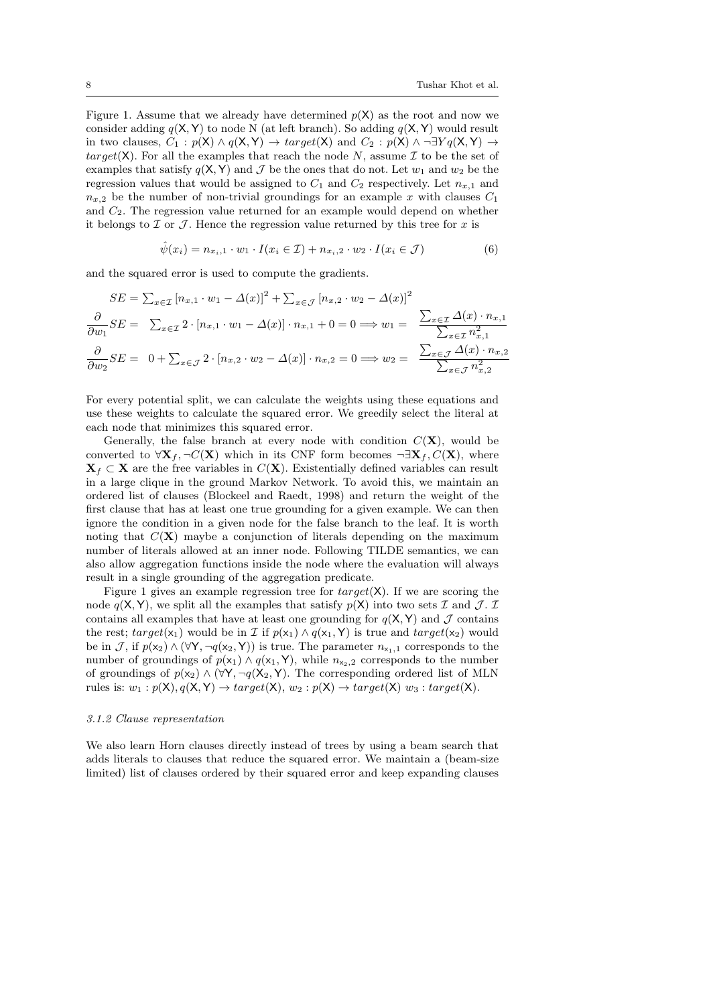Figure 1. Assume that we already have determined  $p(X)$  as the root and now we consider adding  $q(X, Y)$  to node N (at left branch). So adding  $q(X, Y)$  would result in two clauses,  $C_1 : p(X) \wedge q(X, Y) \rightarrow target(X)$  and  $C_2 : p(X) \wedge \neg \exists Y q(X, Y) \rightarrow$ target(X). For all the examples that reach the node N, assume  $\mathcal I$  to be the set of examples that satisfy  $q(X, Y)$  and J be the ones that do not. Let  $w_1$  and  $w_2$  be the regression values that would be assigned to  $C_1$  and  $C_2$  respectively. Let  $n_{x,1}$  and  $n_{x,2}$  be the number of non-trivial groundings for an example x with clauses  $C_1$ and  $C_2$ . The regression value returned for an example would depend on whether it belongs to  $\mathcal I$  or  $\mathcal J$ . Hence the regression value returned by this tree for x is

$$
\hat{\psi}(x_i) = n_{x_i,1} \cdot w_1 \cdot I(x_i \in \mathcal{I}) + n_{x_i,2} \cdot w_2 \cdot I(x_i \in \mathcal{J})
$$
\n
$$
(6)
$$

and the squared error is used to compute the gradients.

$$
SE = \sum_{x \in \mathcal{I}} [n_{x,1} \cdot w_1 - \Delta(x)]^2 + \sum_{x \in \mathcal{J}} [n_{x,2} \cdot w_2 - \Delta(x)]^2
$$
  
\n
$$
\frac{\partial}{\partial w_1} SE = \sum_{x \in \mathcal{I}} 2 \cdot [n_{x,1} \cdot w_1 - \Delta(x)] \cdot n_{x,1} + 0 = 0 \Longrightarrow w_1 = \frac{\sum_{x \in \mathcal{I}} \Delta(x) \cdot n_{x,1}}{\sum_{x \in \mathcal{I}} n_{x,1}^2}
$$
  
\n
$$
\frac{\partial}{\partial w_2} SE = 0 + \sum_{x \in \mathcal{J}} 2 \cdot [n_{x,2} \cdot w_2 - \Delta(x)] \cdot n_{x,2} = 0 \Longrightarrow w_2 = \frac{\sum_{x \in \mathcal{J}} \Delta(x) \cdot n_{x,2}}{\sum_{x \in \mathcal{J}} n_{x,2}^2}
$$

For every potential split, we can calculate the weights using these equations and use these weights to calculate the squared error. We greedily select the literal at each node that minimizes this squared error.

Generally, the false branch at every node with condition  $C(\mathbf{X})$ , would be converted to  $\forall \mathbf{X}_f, \neg C(\mathbf{X})$  which in its CNF form becomes  $\neg \exists \mathbf{X}_f, C(\mathbf{X})$ , where  $X_f \subset X$  are the free variables in  $C(X)$ . Existentially defined variables can result in a large clique in the ground Markov Network. To avoid this, we maintain an ordered list of clauses (Blockeel and Raedt, 1998) and return the weight of the first clause that has at least one true grounding for a given example. We can then ignore the condition in a given node for the false branch to the leaf. It is worth noting that  $C(X)$  maybe a conjunction of literals depending on the maximum number of literals allowed at an inner node. Following TILDE semantics, we can also allow aggregation functions inside the node where the evaluation will always result in a single grounding of the aggregation predicate.

Figure 1 gives an example regression tree for  $target(X)$ . If we are scoring the node  $q(X, Y)$ , we split all the examples that satisfy  $p(X)$  into two sets  $\mathcal I$  and  $\mathcal J$ .  $\mathcal I$ contains all examples that have at least one grounding for  $q(X, Y)$  and  $\mathcal J$  contains the rest;  $target(x_1)$  would be in I if  $p(x_1) \wedge q(x_1, Y)$  is true and  $target(x_2)$  would be in J, if  $p(x_2) \wedge (\forall Y, \neg q(x_2, Y))$  is true. The parameter  $n_{x_1,1}$  corresponds to the number of groundings of  $p(x_1) \wedge q(x_1, Y)$ , while  $n_{x_2,2}$  corresponds to the number of groundings of  $p(x_2) \wedge (\forall Y, \neg q(X_2, Y)$ . The corresponding ordered list of MLN rules is:  $w_1 : p(X), q(X, Y) \rightarrow target(X), w_2 : p(X) \rightarrow target(X)$   $w_3 : target(X)$ .

#### 3.1.2 Clause representation

We also learn Horn clauses directly instead of trees by using a beam search that adds literals to clauses that reduce the squared error. We maintain a (beam-size limited) list of clauses ordered by their squared error and keep expanding clauses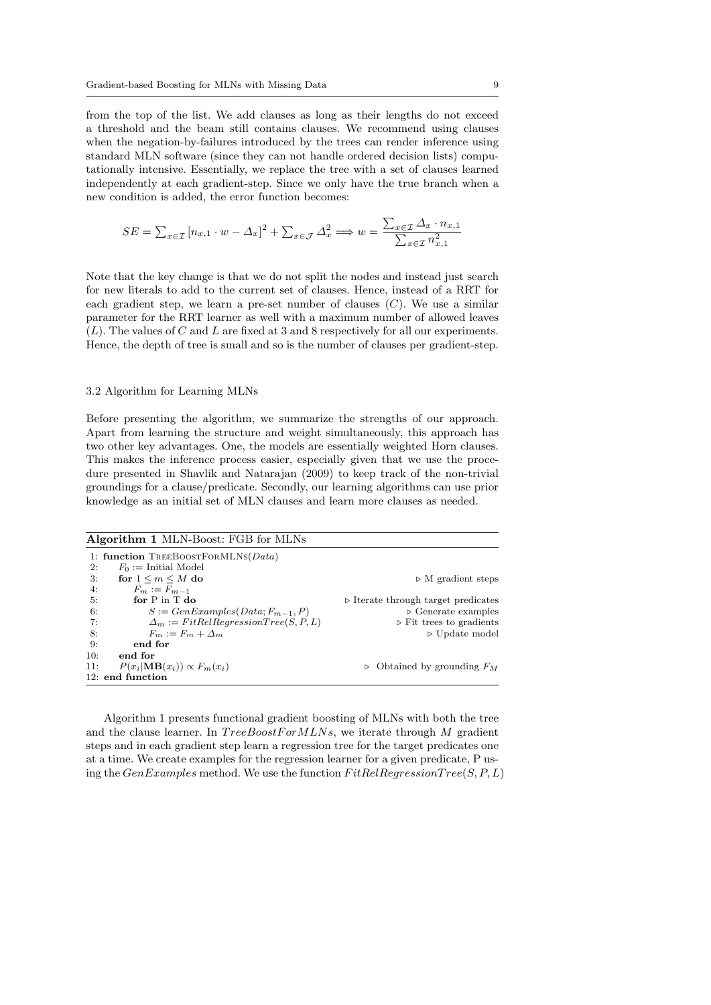from the top of the list. We add clauses as long as their lengths do not exceed a threshold and the beam still contains clauses. We recommend using clauses when the negation-by-failures introduced by the trees can render inference using standard MLN software (since they can not handle ordered decision lists) computationally intensive. Essentially, we replace the tree with a set of clauses learned independently at each gradient-step. Since we only have the true branch when a new condition is added, the error function becomes:

$$
SE = \sum_{x \in \mathcal{I}} [n_{x,1} \cdot w - \Delta_x]^2 + \sum_{x \in \mathcal{J}} \Delta_x^2 \Longrightarrow w = \frac{\sum_{x \in \mathcal{I}} \Delta_x \cdot n_{x,1}}{\sum_{x \in \mathcal{I}} n_{x,1}^2}
$$

Note that the key change is that we do not split the nodes and instead just search for new literals to add to the current set of clauses. Hence, instead of a RRT for each gradient step, we learn a pre-set number of clauses  $(C)$ . We use a similar parameter for the RRT learner as well with a maximum number of allowed leaves (L). The values of C and L are fixed at 3 and 8 respectively for all our experiments. Hence, the depth of tree is small and so is the number of clauses per gradient-step.

#### 3.2 Algorithm for Learning MLNs

Before presenting the algorithm, we summarize the strengths of our approach. Apart from learning the structure and weight simultaneously, this approach has two other key advantages. One, the models are essentially weighted Horn clauses. This makes the inference process easier, especially given that we use the procedure presented in Shavlik and Natarajan (2009) to keep track of the non-trivial groundings for a clause/predicate. Secondly, our learning algorithms can use prior knowledge as an initial set of MLN clauses and learn more clauses as needed.

|     | <b>Algorithm 1 MLN-Boost: FGB for MLNs</b>  |                                                    |
|-----|---------------------------------------------|----------------------------------------------------|
|     | 1: function TREEBOOSTFORMLNS( $Data$ )      |                                                    |
| 2:  | $F_0 :=$ Initial Model                      |                                                    |
| 3:  | for $1 \le m \le M$ do                      | $\triangleright$ M gradient steps                  |
| 4:  | $F_m := F_{m-1}$                            |                                                    |
| 5:  | for $P$ in $T$ do                           | $\triangleright$ Iterate through target predicates |
| 6:  | $S := GenExamples(Data; F_{m-1}, P)$        | $\triangleright$ Generate examples                 |
| 7:  | $\Delta_m := FitRelRegressionTree(S, P, L)$ | $\triangleright$ Fit trees to gradients            |
| -8: | $F_m := F_m + \Delta_m$                     | $\triangleright$ Update model                      |
| 9:  | end for                                     |                                                    |
| 10: | end for                                     |                                                    |
| 11: | $P(x_i \mathbf{MB}(x_i)) \propto F_m(x_i)$  | Obtained by grounding $F_M$<br>$\triangleright$    |
|     | 12: end function                            |                                                    |

Algorithm 1 presents functional gradient boosting of MLNs with both the tree and the clause learner. In  $TreeBoostForMLNs$ , we iterate through M gradient steps and in each gradient step learn a regression tree for the target predicates one at a time. We create examples for the regression learner for a given predicate, P using the  $GenExamples$  method. We use the function  $FitRelRegressionTree(S, P, L)$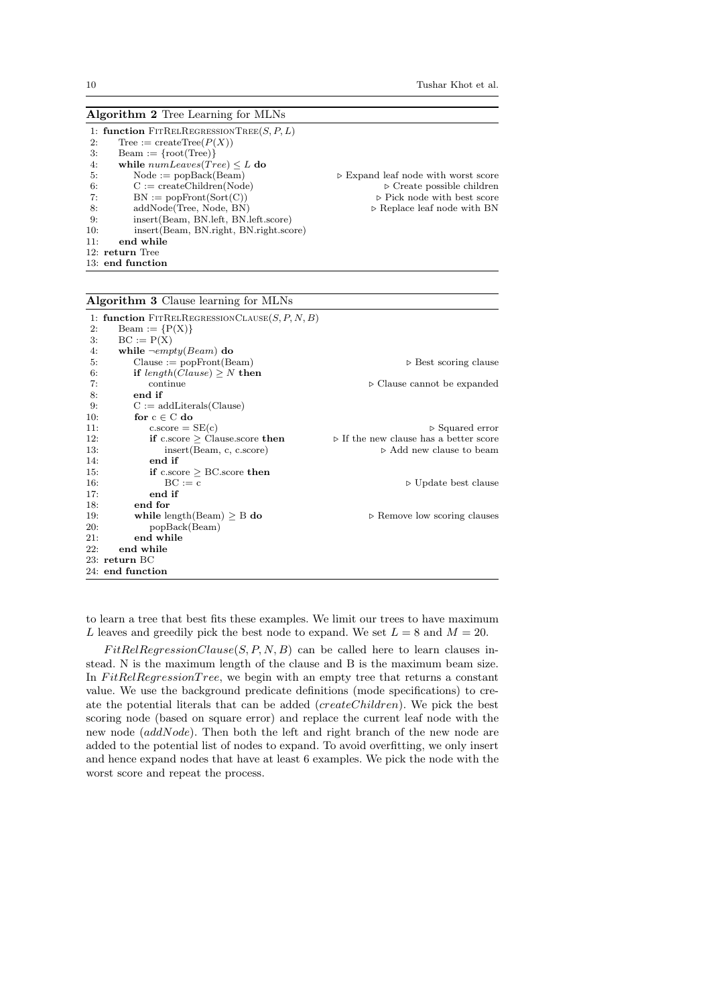|     | <b>Algorithm 2</b> Tree Learning for MLNs |                                                    |
|-----|-------------------------------------------|----------------------------------------------------|
|     | 1: function FITRELREGRESSIONTREE(S, P, L) |                                                    |
| 2:  | Tree := $\text{createTree}(P(X))$         |                                                    |
| 3.  | $Bean := \{root(Tree)\}\$                 |                                                    |
| 4:  | while $numLeaves(Tree) \leq L$ do         |                                                    |
| 5:  | $Node := popBack(Beam)$                   | $\triangleright$ Expand leaf node with worst score |
| 6:  | $C := \text{createChildren}(\text{Node})$ | $\triangleright$ Create possible children          |
| 7:  | $BN := popFront(Sort(C))$                 | $\triangleright$ Pick node with best score         |
| 8.  | addNode(Tree, Node, BN)                   | $\triangleright$ Replace leaf node with BN         |
| 9:  | insert (Beam, BN. left, BN. left. score)  |                                                    |
| 10: | insert (Beam, BN right, BN right score)   |                                                    |
| 11: | end while                                 |                                                    |
|     | 12: return Tree                           |                                                    |
|     | 13: end function                          |                                                    |

## Algorithm 3 Clause learning for MLNs

|     | 1: function $FirRELREGRESSIONCLAUSE(S, P, N, B)$ |                                                       |
|-----|--------------------------------------------------|-------------------------------------------------------|
| 2:  | Beam := $\{P(X)\}\$                              |                                                       |
| 3.  | $BC := P(X)$                                     |                                                       |
| 4:  | while $\neg empty(Beam)$ do                      |                                                       |
| 5:  | $Clause := popFront(Beam)$                       | $\triangleright$ Best scoring clause                  |
| 6:  | if $length(Clause) \geq N$ then                  |                                                       |
| 7:  | continue                                         | $\triangleright$ Clause cannot be expanded            |
| 8:  | end if                                           |                                                       |
| 9:  | $C := add Literals(Clause)$                      |                                                       |
| 10: | for $c \in C$ do                                 |                                                       |
| 11: | $c.\text{score} = SE(c)$                         | $\triangleright$ Squared error                        |
| 12: | if c.score $\geq$ Clause.score then              | $\triangleright$ If the new clause has a better score |
| 13: | insert (Beam, c, c.score)                        | $\triangleright$ Add new clause to beam               |
| 14: | end if                                           |                                                       |
| 15: | if c.score $\geq$ BC.score then                  |                                                       |
| 16: | $BC := c$                                        | $\triangleright$ Update best clause                   |
| 17: | end if                                           |                                                       |
| 18: | end for                                          |                                                       |
| 19: | while length $(Beam) > B$ do                     | $\triangleright$ Remove low scoring clauses           |
| 20: | popBack(Beam)                                    |                                                       |
| 21: | end while                                        |                                                       |
| 22: | end while                                        |                                                       |
|     | 23: return BC                                    |                                                       |
|     | 24: end function                                 |                                                       |

to learn a tree that best fits these examples. We limit our trees to have maximum L leaves and greedily pick the best node to expand. We set  $L = 8$  and  $M = 20$ .

 $FitRelRegressionClause(S, P, N, B)$  can be called here to learn clauses instead. N is the maximum length of the clause and B is the maximum beam size. In  $FitRelRegressionTree$ , we begin with an empty tree that returns a constant value. We use the background predicate definitions (mode specifications) to create the potential literals that can be added (createChildren). We pick the best scoring node (based on square error) and replace the current leaf node with the new node (addNode). Then both the left and right branch of the new node are added to the potential list of nodes to expand. To avoid overfitting, we only insert and hence expand nodes that have at least 6 examples. We pick the node with the worst score and repeat the process.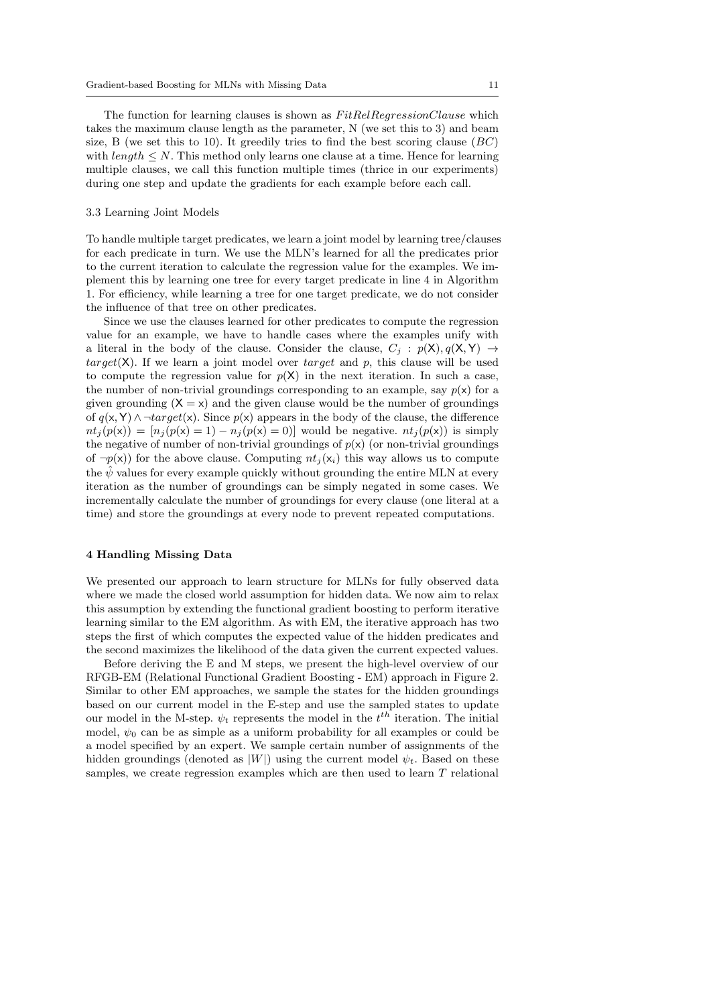The function for learning clauses is shown as  $FitRelRegression Clause$  which takes the maximum clause length as the parameter, N (we set this to 3) and beam size, B (we set this to 10). It greedily tries to find the best scoring clause  $(BC)$ with  $length \leq N$ . This method only learns one clause at a time. Hence for learning multiple clauses, we call this function multiple times (thrice in our experiments) during one step and update the gradients for each example before each call.

#### 3.3 Learning Joint Models

To handle multiple target predicates, we learn a joint model by learning tree/clauses for each predicate in turn. We use the MLN's learned for all the predicates prior to the current iteration to calculate the regression value for the examples. We implement this by learning one tree for every target predicate in line 4 in Algorithm 1. For efficiency, while learning a tree for one target predicate, we do not consider the influence of that tree on other predicates.

Since we use the clauses learned for other predicates to compute the regression value for an example, we have to handle cases where the examples unify with a literal in the body of the clause. Consider the clause,  $C_j$  :  $p(X), q(X, Y) \rightarrow$ target(X). If we learn a joint model over target and p, this clause will be used to compute the regression value for  $p(X)$  in the next iteration. In such a case, the number of non-trivial groundings corresponding to an example, say  $p(x)$  for a given grounding  $(X = x)$  and the given clause would be the number of groundings of  $q(x, Y) \wedge \neg target(x)$ . Since  $p(x)$  appears in the body of the clause, the difference  $nt_j(p(x)) = [n_j(p(x) = 1) - n_j(p(x) = 0)]$  would be negative.  $nt_j(p(x))$  is simply the negative of number of non-trivial groundings of  $p(x)$  (or non-trivial groundings of  $\neg p(x)$  for the above clause. Computing  $nt_i(x_i)$  this way allows us to compute the  $\psi$  values for every example quickly without grounding the entire MLN at every iteration as the number of groundings can be simply negated in some cases. We incrementally calculate the number of groundings for every clause (one literal at a time) and store the groundings at every node to prevent repeated computations.

## 4 Handling Missing Data

We presented our approach to learn structure for MLNs for fully observed data where we made the closed world assumption for hidden data. We now aim to relax this assumption by extending the functional gradient boosting to perform iterative learning similar to the EM algorithm. As with EM, the iterative approach has two steps the first of which computes the expected value of the hidden predicates and the second maximizes the likelihood of the data given the current expected values.

Before deriving the E and M steps, we present the high-level overview of our RFGB-EM (Relational Functional Gradient Boosting - EM) approach in Figure 2. Similar to other EM approaches, we sample the states for the hidden groundings based on our current model in the E-step and use the sampled states to update our model in the M-step.  $\psi_t$  represents the model in the  $t^{th}$  iteration. The initial model,  $\psi_0$  can be as simple as a uniform probability for all examples or could be a model specified by an expert. We sample certain number of assignments of the hidden groundings (denoted as  $|W|$ ) using the current model  $\psi_t$ . Based on these samples, we create regression examples which are then used to learn T relational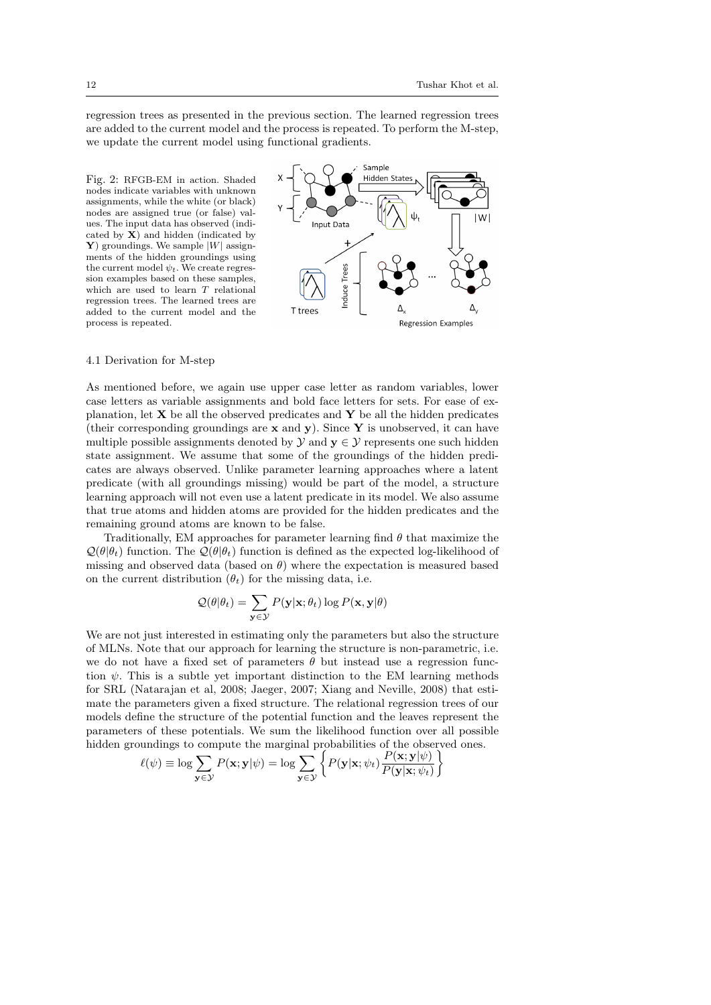regression trees as presented in the previous section. The learned regression trees are added to the current model and the process is repeated. To perform the M-step, we update the current model using functional gradients.

Fig. 2: RFGB-EM in action. Shaded nodes indicate variables with unknown assignments, while the white (or black) nodes are assigned true (or false) values. The input data has observed (indicated by  $\mathbf{X}$ ) and hidden (indicated by Y) groundings. We sample  $|W|$  assignments of the hidden groundings using the current model  $\psi_t$ . We create regression examples based on these samples, which are used to learn T relational regression trees. The learned trees are added to the current model and the process is repeated.



#### 4.1 Derivation for M-step

As mentioned before, we again use upper case letter as random variables, lower case letters as variable assignments and bold face letters for sets. For ease of explanation, let  $X$  be all the observed predicates and  $Y$  be all the hidden predicates (their corresponding groundings are  $x$  and  $y$ ). Since Y is unobserved, it can have multiple possible assignments denoted by  $\mathcal{Y}$  and  $\mathbf{y} \in \mathcal{Y}$  represents one such hidden state assignment. We assume that some of the groundings of the hidden predicates are always observed. Unlike parameter learning approaches where a latent predicate (with all groundings missing) would be part of the model, a structure learning approach will not even use a latent predicate in its model. We also assume that true atoms and hidden atoms are provided for the hidden predicates and the remaining ground atoms are known to be false.

Traditionally, EM approaches for parameter learning find  $\theta$  that maximize the  $\mathcal{Q}(\theta|\theta_t)$  function. The  $\mathcal{Q}(\theta|\theta_t)$  function is defined as the expected log-likelihood of missing and observed data (based on  $\theta$ ) where the expectation is measured based on the current distribution  $(\theta_t)$  for the missing data, i.e.

$$
\mathcal{Q}(\theta|\theta_t) = \sum_{\mathbf{y} \in \mathcal{Y}} P(\mathbf{y}|\mathbf{x}; \theta_t) \log P(\mathbf{x}, \mathbf{y}|\theta)
$$

We are not just interested in estimating only the parameters but also the structure of MLNs. Note that our approach for learning the structure is non-parametric, i.e. we do not have a fixed set of parameters  $\theta$  but instead use a regression function  $\psi$ . This is a subtle yet important distinction to the EM learning methods for SRL (Natarajan et al, 2008; Jaeger, 2007; Xiang and Neville, 2008) that estimate the parameters given a fixed structure. The relational regression trees of our models define the structure of the potential function and the leaves represent the parameters of these potentials. We sum the likelihood function over all possible hidden groundings to compute the marginal probabilities of the observed ones.

$$
\ell(\psi) \equiv \log \sum_{\mathbf{y} \in \mathcal{Y}} P(\mathbf{x}; \mathbf{y} | \psi) = \log \sum_{\mathbf{y} \in \mathcal{Y}} \left\{ P(\mathbf{y} | \mathbf{x}; \psi_t) \frac{P(\mathbf{x}; \mathbf{y} | \psi)}{P(\mathbf{y} | \mathbf{x}; \psi_t)} \right\}
$$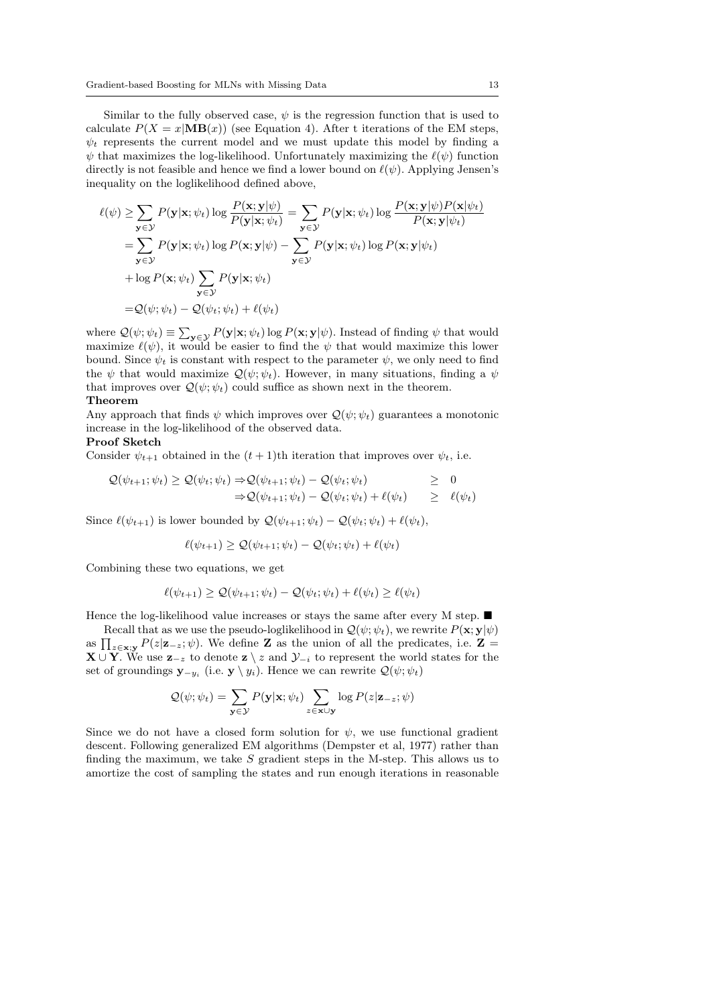Similar to the fully observed case,  $\psi$  is the regression function that is used to calculate  $P(X = x | \mathbf{MB}(x))$  (see Equation 4). After t iterations of the EM steps,  $\psi_t$  represents the current model and we must update this model by finding a  $\psi$  that maximizes the log-likelihood. Unfortunately maximizing the  $\ell(\psi)$  function directly is not feasible and hence we find a lower bound on  $\ell(\psi)$ . Applying Jensen's inequality on the loglikelihood defined above,

$$
\ell(\psi) \ge \sum_{\mathbf{y} \in \mathcal{Y}} P(\mathbf{y}|\mathbf{x}; \psi_t) \log \frac{P(\mathbf{x}; \mathbf{y}|\psi)}{P(\mathbf{y}|\mathbf{x}; \psi_t)} = \sum_{\mathbf{y} \in \mathcal{Y}} P(\mathbf{y}|\mathbf{x}; \psi_t) \log \frac{P(\mathbf{x}; \mathbf{y}|\psi) P(\mathbf{x}|\psi_t)}{P(\mathbf{x}; \mathbf{y}|\psi_t)}
$$
  
\n
$$
= \sum_{\mathbf{y} \in \mathcal{Y}} P(\mathbf{y}|\mathbf{x}; \psi_t) \log P(\mathbf{x}; \mathbf{y}|\psi) - \sum_{\mathbf{y} \in \mathcal{Y}} P(\mathbf{y}|\mathbf{x}; \psi_t) \log P(\mathbf{x}; \mathbf{y}|\psi_t)
$$
  
\n
$$
+ \log P(\mathbf{x}; \psi_t) \sum_{\mathbf{y} \in \mathcal{Y}} P(\mathbf{y}|\mathbf{x}; \psi_t)
$$
  
\n
$$
= Q(\psi; \psi_t) - Q(\psi_t; \psi_t) + \ell(\psi_t)
$$

where  $\mathcal{Q}(\psi; \psi_t) \equiv \sum_{\mathbf{y} \in \mathcal{Y}} P(\mathbf{y}|\mathbf{x}; \psi_t) \log P(\mathbf{x}; \mathbf{y}|\psi)$ . Instead of finding  $\psi$  that would maximize  $\ell(\psi)$ , it would be easier to find the  $\psi$  that would maximize this lower bound. Since  $\psi_t$  is constant with respect to the parameter  $\psi$ , we only need to find the  $\psi$  that would maximize  $\mathcal{Q}(\psi; \psi_t)$ . However, in many situations, finding a  $\psi$ that improves over  $\mathcal{Q}(\psi; \psi_t)$  could suffice as shown next in the theorem. Theorem

## Any approach that finds  $\psi$  which improves over  $\mathcal{Q}(\psi; \psi_t)$  guarantees a monotonic increase in the log-likelihood of the observed data.

## Proof Sketch

Consider  $\psi_{t+1}$  obtained in the  $(t+1)$ th iteration that improves over  $\psi_t$ , i.e.

$$
Q(\psi_{t+1}; \psi_t) \ge Q(\psi_t; \psi_t) \Rightarrow Q(\psi_{t+1}; \psi_t) - Q(\psi_t; \psi_t) \ge 0
$$
  

$$
\Rightarrow Q(\psi_{t+1}; \psi_t) - Q(\psi_t; \psi_t) + \ell(\psi_t) \ge \ell(\psi_t)
$$

Since  $\ell(\psi_{t+1})$  is lower bounded by  $\mathcal{Q}(\psi_{t+1}; \psi_t) - \mathcal{Q}(\psi_t; \psi_t) + \ell(\psi_t),$ 

$$
\ell(\psi_{t+1}) \geq \mathcal{Q}(\psi_{t+1}; \psi_t) - \mathcal{Q}(\psi_t; \psi_t) + \ell(\psi_t)
$$

Combining these two equations, we get

$$
\ell(\psi_{t+1}) \geq \mathcal{Q}(\psi_{t+1}; \psi_t) - \mathcal{Q}(\psi_t; \psi_t) + \ell(\psi_t) \geq \ell(\psi_t)
$$

Hence the log-likelihood value increases or stays the same after every M step.  $\blacksquare$ 

Recall that as we use the pseudo-loglikelihood in  $\mathcal{Q}(\psi; \psi_t)$ , we rewrite  $P(\mathbf{x}; \mathbf{y} | \psi)$ as  $\prod_{z \in \mathbf{x};\mathbf{y}} P(z|\mathbf{z}_{-z}; \psi)$ . We define **Z** as the union of all the predicates, i.e. **Z** =  $\mathbf{X} \cup \widetilde{\mathbf{Y}}$ . We use  $\mathbf{z}_{-z}$  to denote  $\mathbf{z} \setminus z$  and  $\mathcal{Y}_{-i}$  to represent the world states for the set of groundings  $\mathbf{y}_{-y_i}$  (i.e.  $\mathbf{y} \setminus y_i$ ). Hence we can rewrite  $\mathcal{Q}(\psi; \psi_t)$ 

$$
Q(\psi; \psi_t) = \sum_{\mathbf{y} \in \mathcal{Y}} P(\mathbf{y}|\mathbf{x}; \psi_t) \sum_{z \in \mathbf{x} \cup \mathbf{y}} \log P(z|\mathbf{z}_{-z}; \psi)
$$

Since we do not have a closed form solution for  $\psi$ , we use functional gradient descent. Following generalized EM algorithms (Dempster et al, 1977) rather than finding the maximum, we take S gradient steps in the M-step. This allows us to amortize the cost of sampling the states and run enough iterations in reasonable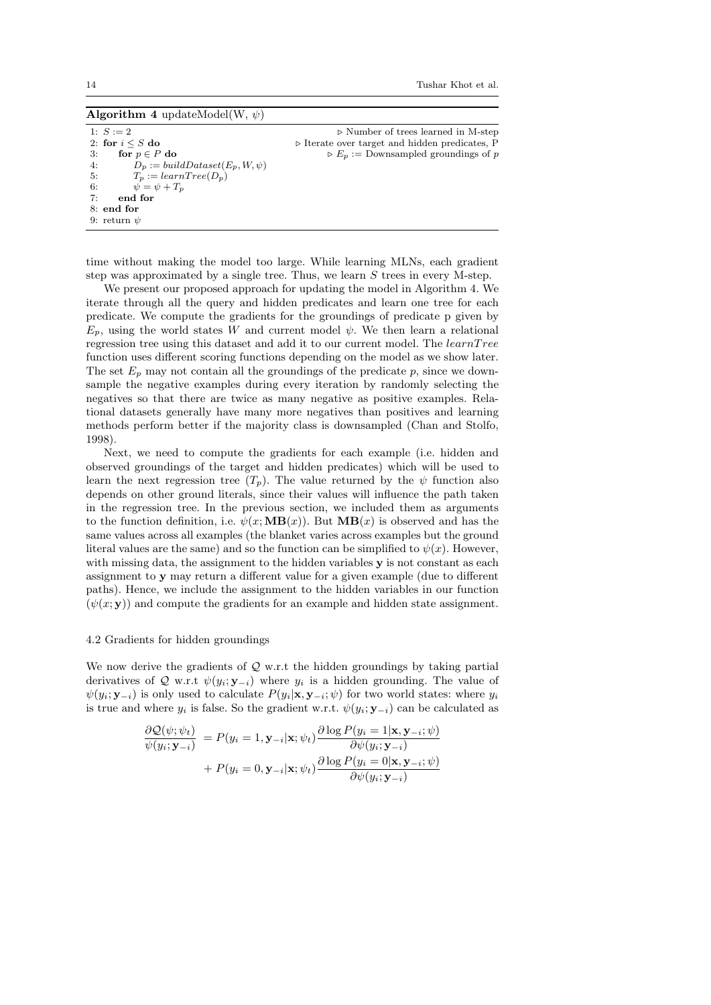Algorithm 4 updateModel(W,  $\psi$ )

1:  $S := 2$  b Number of trees learned in M-step 2: for  $i \leq S$  do  $\qquad \qquad \qquad \triangleright$  Iterate over target and hidden predicates, P 3: for  $p \in P$  do  $\triangleright E_p :=$  Downsampled groundings of p 4:  $\overrightarrow{D}_p := \text{buildDataset}(E_p, W, \psi)$ <br>5:  $T_n := \text{learnTree}(D_n)$ 5:  $T_p := learnTree(D_p)$ <br>6:  $\psi = \psi + T_n$  $\psi = \psi + T_p$ 7: end for  $8$  end for 9: return  $\n *u*$ 

time without making the model too large. While learning MLNs, each gradient step was approximated by a single tree. Thus, we learn  $S$  trees in every M-step.

We present our proposed approach for updating the model in Algorithm 4. We iterate through all the query and hidden predicates and learn one tree for each predicate. We compute the gradients for the groundings of predicate p given by  $E_p$ , using the world states W and current model  $\psi$ . We then learn a relational regression tree using this dataset and add it to our current model. The learnTree function uses different scoring functions depending on the model as we show later. The set  $E_p$  may not contain all the groundings of the predicate p, since we downsample the negative examples during every iteration by randomly selecting the negatives so that there are twice as many negative as positive examples. Relational datasets generally have many more negatives than positives and learning methods perform better if the majority class is downsampled (Chan and Stolfo, 1998).

Next, we need to compute the gradients for each example (i.e. hidden and observed groundings of the target and hidden predicates) which will be used to learn the next regression tree  $(T_p)$ . The value returned by the  $\psi$  function also depends on other ground literals, since their values will influence the path taken in the regression tree. In the previous section, we included them as arguments to the function definition, i.e.  $\psi(x;MB(x))$ . But  $MB(x)$  is observed and has the same values across all examples (the blanket varies across examples but the ground literal values are the same) and so the function can be simplified to  $\psi(x)$ . However, with missing data, the assignment to the hidden variables y is not constant as each assignment to y may return a different value for a given example (due to different paths). Hence, we include the assignment to the hidden variables in our function  $(\psi(x; y))$  and compute the gradients for an example and hidden state assignment.

## 4.2 Gradients for hidden groundings

We now derive the gradients of  $\mathcal Q$  w.r.t the hidden groundings by taking partial derivatives of Q w.r.t  $\psi(y_i; \mathbf{y}_{-i})$  where  $y_i$  is a hidden grounding. The value of  $\psi(y_i; \mathbf{y}_{-i})$  is only used to calculate  $P(y_i|\mathbf{x}, \mathbf{y}_{-i}; \psi)$  for two world states: where  $y_i$ is true and where  $y_i$  is false. So the gradient w.r.t.  $\psi(y_i; \mathbf{y}_{-i})$  can be calculated as

$$
\frac{\partial \mathcal{Q}(\psi; \psi_t)}{\psi(y_i; \mathbf{y}_{-i})} = P(y_i = 1, \mathbf{y}_{-i} | \mathbf{x}; \psi_t) \frac{\partial \log P(y_i = 1 | \mathbf{x}, \mathbf{y}_{-i}; \psi)}{\partial \psi(y_i; \mathbf{y}_{-i})} + P(y_i = 0, \mathbf{y}_{-i} | \mathbf{x}; \psi_t) \frac{\partial \log P(y_i = 0 | \mathbf{x}, \mathbf{y}_{-i}; \psi)}{\partial \psi(y_i; \mathbf{y}_{-i})}
$$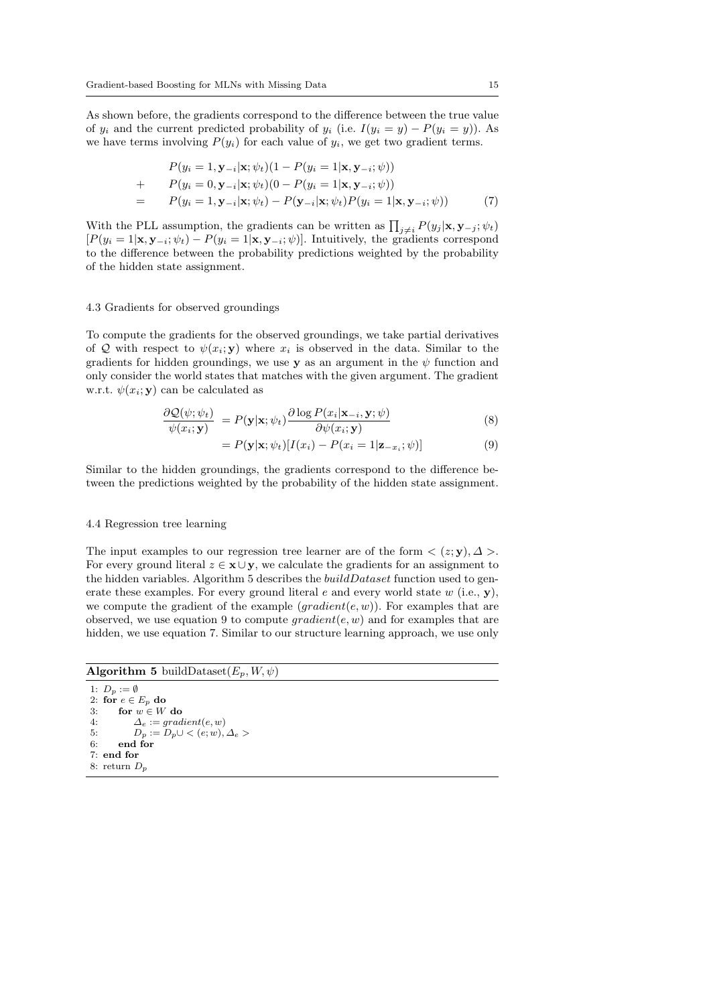As shown before, the gradients correspond to the difference between the true value of  $y_i$  and the current predicted probability of  $y_i$  (i.e.  $I(y_i = y) - P(y_i = y)$ ). As we have terms involving  $P(y_i)$  for each value of  $y_i$ , we get two gradient terms.

$$
P(y_i = 1, \mathbf{y}_{-i} | \mathbf{x}; \psi_t) (1 - P(y_i = 1 | \mathbf{x}, \mathbf{y}_{-i}; \psi))
$$
  
+ 
$$
P(y_i = 0, \mathbf{y}_{-i} | \mathbf{x}; \psi_t) (0 - P(y_i = 1 | \mathbf{x}, \mathbf{y}_{-i}; \psi))
$$
  
= 
$$
P(y_i = 1, \mathbf{y}_{-i} | \mathbf{x}; \psi_t) - P(\mathbf{y}_{-i} | \mathbf{x}; \psi_t) P(y_i = 1 | \mathbf{x}, \mathbf{y}_{-i}; \psi))
$$
(7)

With the PLL assumption, the gradients can be written as  $\prod_{j\neq i} P(y_j | \mathbf{x}, \mathbf{y}_{-j}; \psi_t)$  $[P(y_i = 1 | \mathbf{x}, \mathbf{y}_{-i}; \psi_t) - P(y_i = 1 | \mathbf{x}, \mathbf{y}_{-i}; \psi)]$ . Intuitively, the gradients correspond to the difference between the probability predictions weighted by the probability of the hidden state assignment.

## 4.3 Gradients for observed groundings

To compute the gradients for the observed groundings, we take partial derivatives of Q with respect to  $\psi(x_i; y)$  where  $x_i$  is observed in the data. Similar to the gradients for hidden groundings, we use y as an argument in the  $\psi$  function and only consider the world states that matches with the given argument. The gradient w.r.t.  $\psi(x_i; \mathbf{y})$  can be calculated as

$$
\frac{\partial \mathcal{Q}(\psi; \psi_t)}{\psi(x_i; \mathbf{y})} = P(\mathbf{y}|\mathbf{x}; \psi_t) \frac{\partial \log P(x_i|\mathbf{x}_{-i}, \mathbf{y}; \psi)}{\partial \psi(x_i; \mathbf{y})}
$$
(8)

$$
= P(\mathbf{y}|\mathbf{x}; \psi_t) [I(x_i) - P(x_i = 1|\mathbf{z}_{-x_i}; \psi)] \tag{9}
$$

Similar to the hidden groundings, the gradients correspond to the difference between the predictions weighted by the probability of the hidden state assignment.

#### 4.4 Regression tree learning

The input examples to our regression tree learner are of the form  $\langle z; \mathbf{y}, \Delta \rangle$ . For every ground literal  $z \in \mathbf{x} \cup \mathbf{y}$ , we calculate the gradients for an assignment to the hidden variables. Algorithm 5 describes the  $buildDataset$  function used to generate these examples. For every ground literal  $e$  and every world state  $w$  (i.e.,  $\mathbf{y}$ ), we compute the gradient of the example  $(gradient(e, w))$ . For examples that are observed, we use equation 9 to compute  $gradient(e, w)$  and for examples that are hidden, we use equation 7. Similar to our structure learning approach, we use only

Algorithm 5 buildDataset $(E_p, W, \psi)$ 

```
1: D_p := \emptyset2: for e \in E_p do<br>3: for w \in Wfor w \in W do
4: \Delta_e := gradient(e, w)5: D_p := D_p \cup \langle e; w \rangle, \Delta_e ><br>6: end for
        end for
7: end for
8: return D_r
```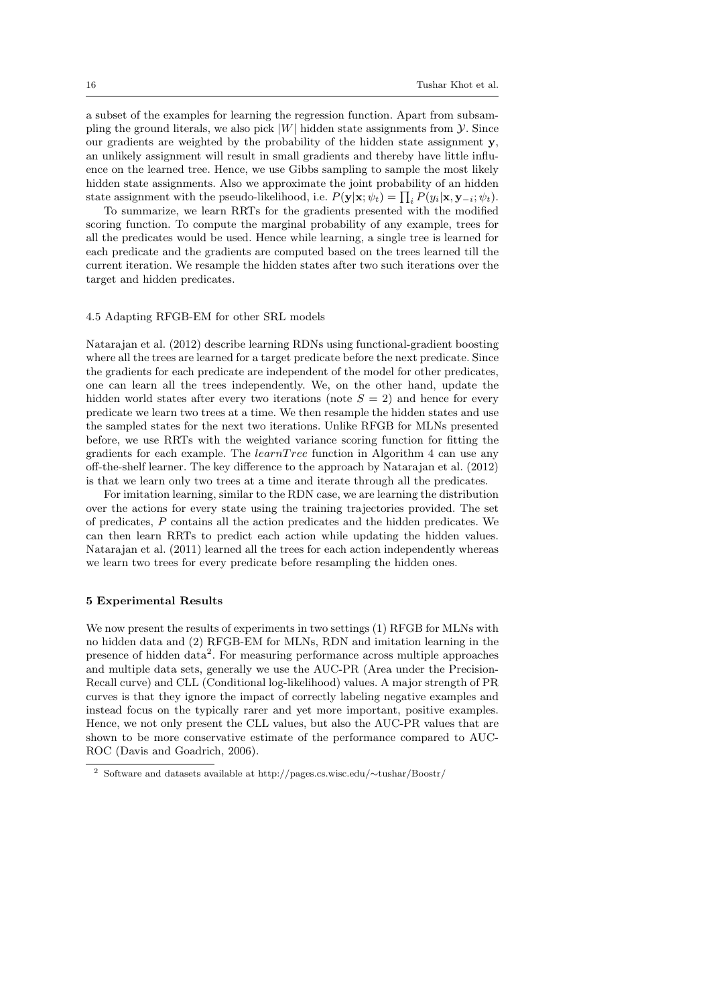a subset of the examples for learning the regression function. Apart from subsampling the ground literals, we also pick  $|W|$  hidden state assignments from  $\mathcal Y$ . Since our gradients are weighted by the probability of the hidden state assignment y, an unlikely assignment will result in small gradients and thereby have little influence on the learned tree. Hence, we use Gibbs sampling to sample the most likely hidden state assignments. Also we approximate the joint probability of an hidden state assignment with the pseudo-likelihood, i.e.  $P(\mathbf{y}|\mathbf{x}; \psi_t) = \prod_i P(y_i|\mathbf{x}, \mathbf{y}_{-i}; \psi_t)$ .

To summarize, we learn RRTs for the gradients presented with the modified scoring function. To compute the marginal probability of any example, trees for all the predicates would be used. Hence while learning, a single tree is learned for each predicate and the gradients are computed based on the trees learned till the current iteration. We resample the hidden states after two such iterations over the target and hidden predicates.

#### 4.5 Adapting RFGB-EM for other SRL models

Natarajan et al. (2012) describe learning RDNs using functional-gradient boosting where all the trees are learned for a target predicate before the next predicate. Since the gradients for each predicate are independent of the model for other predicates, one can learn all the trees independently. We, on the other hand, update the hidden world states after every two iterations (note  $S = 2$ ) and hence for every predicate we learn two trees at a time. We then resample the hidden states and use the sampled states for the next two iterations. Unlike RFGB for MLNs presented before, we use RRTs with the weighted variance scoring function for fitting the gradients for each example. The  $learnTree$  function in Algorithm 4 can use any off-the-shelf learner. The key difference to the approach by Natarajan et al. (2012) is that we learn only two trees at a time and iterate through all the predicates.

For imitation learning, similar to the RDN case, we are learning the distribution over the actions for every state using the training trajectories provided. The set of predicates, P contains all the action predicates and the hidden predicates. We can then learn RRTs to predict each action while updating the hidden values. Natarajan et al. (2011) learned all the trees for each action independently whereas we learn two trees for every predicate before resampling the hidden ones.

#### 5 Experimental Results

We now present the results of experiments in two settings (1) RFGB for MLNs with no hidden data and (2) RFGB-EM for MLNs, RDN and imitation learning in the presence of hidden data<sup>2</sup>. For measuring performance across multiple approaches and multiple data sets, generally we use the AUC-PR (Area under the Precision-Recall curve) and CLL (Conditional log-likelihood) values. A major strength of PR curves is that they ignore the impact of correctly labeling negative examples and instead focus on the typically rarer and yet more important, positive examples. Hence, we not only present the CLL values, but also the AUC-PR values that are shown to be more conservative estimate of the performance compared to AUC-ROC (Davis and Goadrich, 2006).

<sup>2</sup> Software and datasets available at http://pages.cs.wisc.edu/∼tushar/Boostr/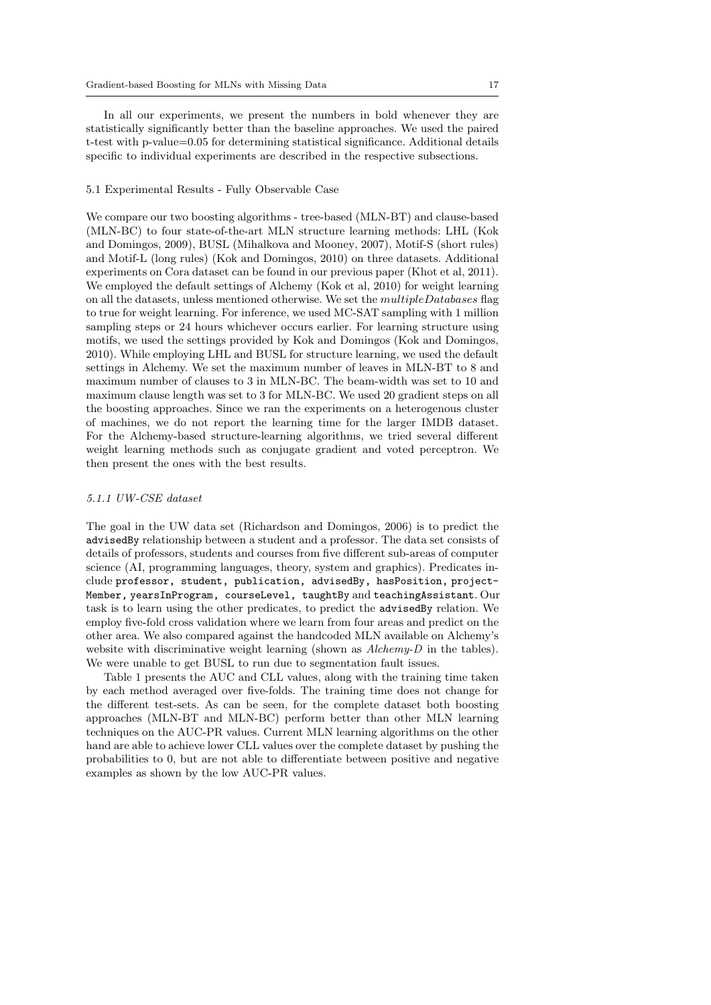In all our experiments, we present the numbers in bold whenever they are statistically significantly better than the baseline approaches. We used the paired t-test with p-value=0.05 for determining statistical significance. Additional details specific to individual experiments are described in the respective subsections.

## 5.1 Experimental Results - Fully Observable Case

We compare our two boosting algorithms - tree-based (MLN-BT) and clause-based (MLN-BC) to four state-of-the-art MLN structure learning methods: LHL (Kok and Domingos, 2009), BUSL (Mihalkova and Mooney, 2007), Motif-S (short rules) and Motif-L (long rules) (Kok and Domingos, 2010) on three datasets. Additional experiments on Cora dataset can be found in our previous paper (Khot et al, 2011). We employed the default settings of Alchemy (Kok et al, 2010) for weight learning on all the datasets, unless mentioned otherwise. We set the multipleDatabases flag to true for weight learning. For inference, we used MC-SAT sampling with 1 million sampling steps or 24 hours whichever occurs earlier. For learning structure using motifs, we used the settings provided by Kok and Domingos (Kok and Domingos, 2010). While employing LHL and BUSL for structure learning, we used the default settings in Alchemy. We set the maximum number of leaves in MLN-BT to 8 and maximum number of clauses to 3 in MLN-BC. The beam-width was set to 10 and maximum clause length was set to 3 for MLN-BC. We used 20 gradient steps on all the boosting approaches. Since we ran the experiments on a heterogenous cluster of machines, we do not report the learning time for the larger IMDB dataset. For the Alchemy-based structure-learning algorithms, we tried several different weight learning methods such as conjugate gradient and voted perceptron. We then present the ones with the best results.

#### 5.1.1 UW-CSE dataset

The goal in the UW data set (Richardson and Domingos, 2006) is to predict the advisedBy relationship between a student and a professor. The data set consists of details of professors, students and courses from five different sub-areas of computer science (AI, programming languages, theory, system and graphics). Predicates include professor, student, publication, advisedBy, hasPosition, project-Member, yearsInProgram, courseLevel, taughtBy and teachingAssistant. Our task is to learn using the other predicates, to predict the advisedBy relation. We employ five-fold cross validation where we learn from four areas and predict on the other area. We also compared against the handcoded MLN available on Alchemy's website with discriminative weight learning (shown as *Alchemy-D* in the tables). We were unable to get BUSL to run due to segmentation fault issues.

Table 1 presents the AUC and CLL values, along with the training time taken by each method averaged over five-folds. The training time does not change for the different test-sets. As can be seen, for the complete dataset both boosting approaches (MLN-BT and MLN-BC) perform better than other MLN learning techniques on the AUC-PR values. Current MLN learning algorithms on the other hand are able to achieve lower CLL values over the complete dataset by pushing the probabilities to 0, but are not able to differentiate between positive and negative examples as shown by the low AUC-PR values.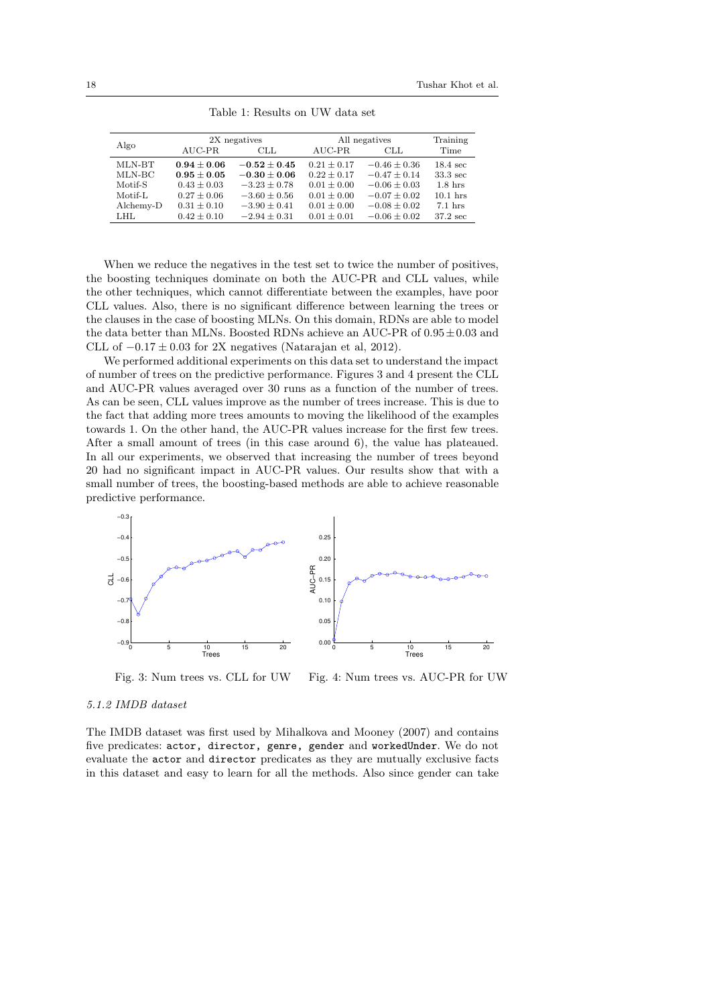|           |                 | 2X negatives     | All negatives   | Training         |                    |
|-----------|-----------------|------------------|-----------------|------------------|--------------------|
| Algo      | $AUC-PR$        | CLL              | AUC-PR          | <b>CLL</b>       | Time               |
| MLN-BT    | $0.94 \pm 0.06$ | $-0.52 + 0.45$   | $0.21 \pm 0.17$ | $-0.46 \pm 0.36$ | $18.4 \text{ sec}$ |
| MLN-BC    | $0.95 \pm 0.05$ | $-0.30 \pm 0.06$ | $0.22 + 0.17$   | $-0.47 \pm 0.14$ | $33.3 \text{ sec}$ |
| Motif-S   | $0.43 \pm 0.03$ | $-3.23 \pm 0.78$ | $0.01 \pm 0.00$ | $-0.06 \pm 0.03$ | $1.8$ hrs          |
| Motif-L   | $0.27 \pm 0.06$ | $-3.60 \pm 0.56$ | $0.01 \pm 0.00$ | $-0.07 \pm 0.02$ | $10.1$ hrs         |
| Alchemy-D | $0.31 \pm 0.10$ | $-3.90 \pm 0.41$ | $0.01 \pm 0.00$ | $-0.08 \pm 0.02$ | $7.1$ hrs          |
| LHL.      | $0.42 \pm 0.10$ | $-2.94 \pm 0.31$ | $0.01 \pm 0.01$ | $-0.06 \pm 0.02$ | $37.2 \text{ sec}$ |

Table 1: Results on UW data set

When we reduce the negatives in the test set to twice the number of positives, the boosting techniques dominate on both the AUC-PR and CLL values, while the other techniques, which cannot differentiate between the examples, have poor CLL values. Also, there is no significant difference between learning the trees or the clauses in the case of boosting MLNs. On this domain, RDNs are able to model the data better than MLNs. Boosted RDNs achieve an AUC-PR of  $0.95 \pm 0.03$  and CLL of  $-0.17 \pm 0.03$  for 2X negatives (Natarajan et al, 2012).

We performed additional experiments on this data set to understand the impact of number of trees on the predictive performance. Figures 3 and 4 present the CLL and AUC-PR values averaged over 30 runs as a function of the number of trees. As can be seen, CLL values improve as the number of trees increase. This is due to the fact that adding more trees amounts to moving the likelihood of the examples towards 1. On the other hand, the AUC-PR values increase for the first few trees. After a small amount of trees (in this case around 6), the value has plateaued. In all our experiments, we observed that increasing the number of trees beyond 20 had no significant impact in AUC-PR values. Our results show that with a small number of trees, the boosting-based methods are able to achieve reasonable predictive performance.



Fig. 3: Num trees vs. CLL for UW Fig. 4: Num trees vs. AUC-PR for UW

## 5.1.2 IMDB dataset

The IMDB dataset was first used by Mihalkova and Mooney (2007) and contains five predicates: actor, director, genre, gender and workedUnder. We do not evaluate the actor and director predicates as they are mutually exclusive facts in this dataset and easy to learn for all the methods. Also since gender can take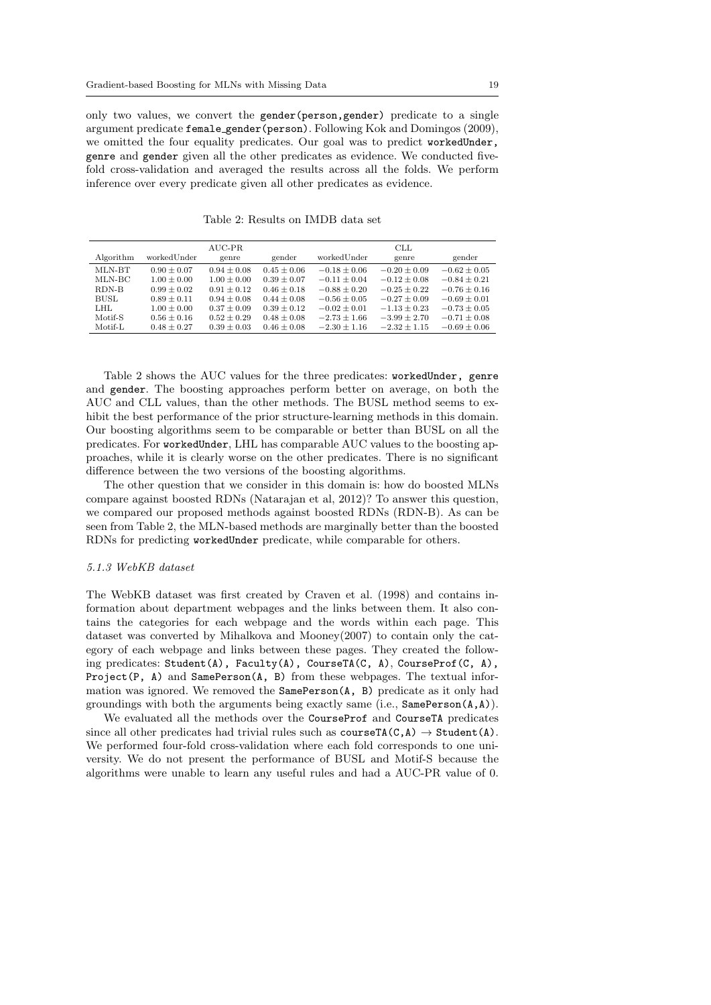only two values, we convert the gender(person,gender) predicate to a single argument predicate female gender(person). Following Kok and Domingos (2009), we omitted the four equality predicates. Our goal was to predict workedUnder, genre and gender given all the other predicates as evidence. We conducted fivefold cross-validation and averaged the results across all the folds. We perform inference over every predicate given all other predicates as evidence.

|           |                 | AUC-PR          |                 |                  | CLL              |                  |
|-----------|-----------------|-----------------|-----------------|------------------|------------------|------------------|
| Algorithm | workedUnder     | genre           | gender          | workedUnder      | genre            | gender           |
| MLN-BT    | $0.90 \pm 0.07$ | $0.94 \pm 0.08$ | $0.45 \pm 0.06$ | $-0.18 \pm 0.06$ | $-0.20 \pm 0.09$ | $-0.62 \pm 0.05$ |
| MLN-BC    | $1.00 \pm 0.00$ | $1.00 \pm 0.00$ | $0.39 + 0.07$   | $-0.11 + 0.04$   | $-0.12 + 0.08$   | $-0.84 \pm 0.21$ |
| RDN-B     | $0.99 \pm 0.02$ | $0.91 \pm 0.12$ | $0.46 \pm 0.18$ | $-0.88 + 0.20$   | $-0.25 + 0.22$   | $-0.76 \pm 0.16$ |
| BUSL.     | $0.89 + 0.11$   | $0.94 \pm 0.08$ | $0.44 + 0.08$   | $-0.56 + 0.05$   | $-0.27 + 0.09$   | $-0.69 + 0.01$   |
| LHL.      | $1.00 \pm 0.00$ | $0.37 \pm 0.09$ | $0.39 \pm 0.12$ | $-0.02 \pm 0.01$ | $-1.13 \pm 0.23$ | $-0.73 \pm 0.05$ |
| Motif-S   | $0.56 + 0.16$   | $0.52 \pm 0.29$ | $0.48 + 0.08$   | $-2.73 + 1.66$   | $-3.99 + 2.70$   | $-0.71 + 0.08$   |
| Motif-L   | $0.48 \pm 0.27$ | $0.39 \pm 0.03$ | $0.46 \pm 0.08$ | $-2.30 \pm 1.16$ | $-2.32 + 1.15$   | $-0.69 \pm 0.06$ |

Table 2: Results on IMDB data set

Table 2 shows the AUC values for the three predicates: workedUnder, genre and gender. The boosting approaches perform better on average, on both the AUC and CLL values, than the other methods. The BUSL method seems to exhibit the best performance of the prior structure-learning methods in this domain. Our boosting algorithms seem to be comparable or better than BUSL on all the predicates. For workedUnder, LHL has comparable AUC values to the boosting approaches, while it is clearly worse on the other predicates. There is no significant difference between the two versions of the boosting algorithms.

The other question that we consider in this domain is: how do boosted MLNs compare against boosted RDNs (Natarajan et al, 2012)? To answer this question, we compared our proposed methods against boosted RDNs (RDN-B). As can be seen from Table 2, the MLN-based methods are marginally better than the boosted RDNs for predicting workedUnder predicate, while comparable for others.

#### 5.1.3 WebKB dataset

The WebKB dataset was first created by Craven et al. (1998) and contains information about department webpages and the links between them. It also contains the categories for each webpage and the words within each page. This dataset was converted by Mihalkova and Mooney(2007) to contain only the category of each webpage and links between these pages. They created the following predicates: Student(A), Faculty(A), CourseTA(C, A), CourseProf(C, A), Project(P, A) and SamePerson(A, B) from these webpages. The textual information was ignored. We removed the SamePerson(A, B) predicate as it only had groundings with both the arguments being exactly same (i.e.,  $\text{SamePerson}(A, A)$ ).

We evaluated all the methods over the CourseProf and CourseTA predicates since all other predicates had trivial rules such as  $\text{courseTA}(C, A) \rightarrow \text{Student}(A)$ . We performed four-fold cross-validation where each fold corresponds to one university. We do not present the performance of BUSL and Motif-S because the algorithms were unable to learn any useful rules and had a AUC-PR value of 0.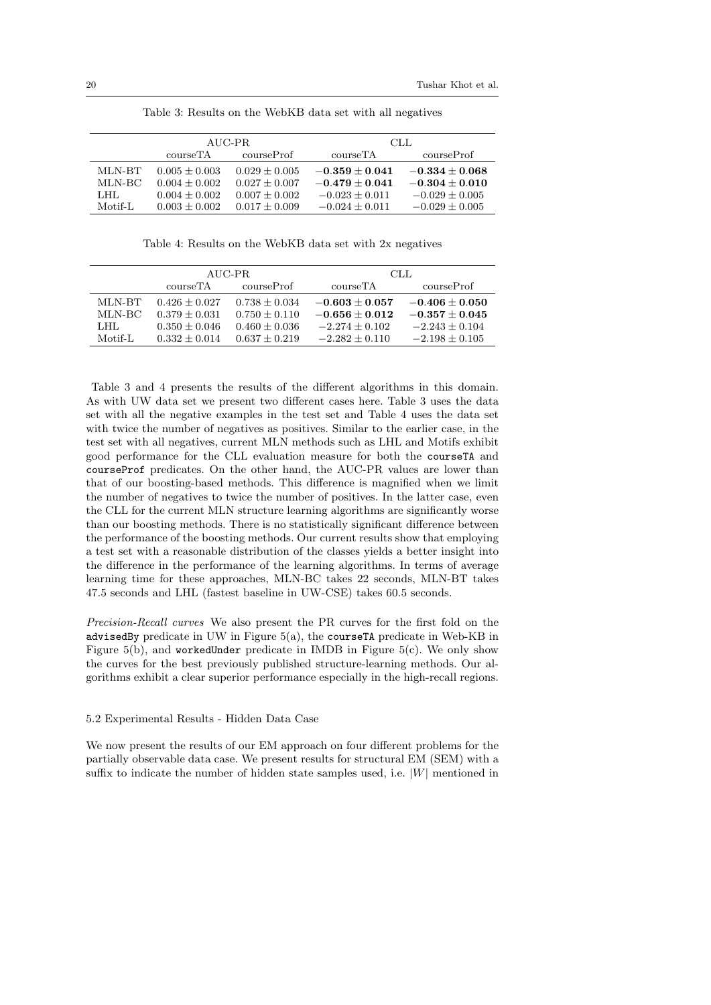|         |                        | AUC-PR          | CLL.             |                    |  |
|---------|------------------------|-----------------|------------------|--------------------|--|
|         | courseTA<br>courseProf |                 | courseTA         | courseProf         |  |
| MLN-BT  | $0.005 + 0.003$        | $0.029 + 0.005$ | $-0.359 + 0.041$ | $-0.334 + 0.068$   |  |
| MLN-BC  | $0.004 + 0.002$        | $0.027 + 0.007$ | $-0.479 + 0.041$ | $-0.304 + 0.010$   |  |
| LHL.    | $0.004 + 0.002$        | $0.007 + 0.002$ | $-0.023 + 0.011$ | $-0.029 + 0.005$   |  |
| Motif-L | $0.003 \pm 0.002$      | $0.017 + 0.009$ | $-0.024 + 0.011$ | $-0.029 \pm 0.005$ |  |

Table 3: Results on the WebKB data set with all negatives

Table 4: Results on the WebKB data set with 2x negatives

|         |                        | AUC-PR            | CLL.               |                    |
|---------|------------------------|-------------------|--------------------|--------------------|
|         | courseTA<br>courseProf |                   | courseTA           | courseProf         |
| MLN-BT  | $0.426 + 0.027$        | $0.738 + 0.034$   | $-0.603 + 0.057$   | $-0.406 + 0.050$   |
| MLN-BC  | $0.379 + 0.031$        | $0.750 + 0.110$   | $-0.656 + 0.012$   | $-0.357 + 0.045$   |
| LHL.    | $0.350 + 0.046$        | $0.460 + 0.036$   | $-2.274 \pm 0.102$ | $-2.243 + 0.104$   |
| Motif-L | $0.332 + 0.014$        | $0.637 \pm 0.219$ | $-2.282 \pm 0.110$ | $-2.198 \pm 0.105$ |

Table 3 and 4 presents the results of the different algorithms in this domain. As with UW data set we present two different cases here. Table 3 uses the data set with all the negative examples in the test set and Table 4 uses the data set with twice the number of negatives as positives. Similar to the earlier case, in the test set with all negatives, current MLN methods such as LHL and Motifs exhibit good performance for the CLL evaluation measure for both the courseTA and courseProf predicates. On the other hand, the AUC-PR values are lower than that of our boosting-based methods. This difference is magnified when we limit the number of negatives to twice the number of positives. In the latter case, even the CLL for the current MLN structure learning algorithms are significantly worse than our boosting methods. There is no statistically significant difference between the performance of the boosting methods. Our current results show that employing a test set with a reasonable distribution of the classes yields a better insight into the difference in the performance of the learning algorithms. In terms of average learning time for these approaches, MLN-BC takes 22 seconds, MLN-BT takes 47.5 seconds and LHL (fastest baseline in UW-CSE) takes 60.5 seconds.

Precision-Recall curves We also present the PR curves for the first fold on the advisedBy predicate in UW in Figure 5(a), the courseTA predicate in Web-KB in Figure 5(b), and workedUnder predicate in IMDB in Figure 5(c). We only show the curves for the best previously published structure-learning methods. Our algorithms exhibit a clear superior performance especially in the high-recall regions.

#### 5.2 Experimental Results - Hidden Data Case

We now present the results of our EM approach on four different problems for the partially observable data case. We present results for structural EM (SEM) with a suffix to indicate the number of hidden state samples used, i.e.  $|W|$  mentioned in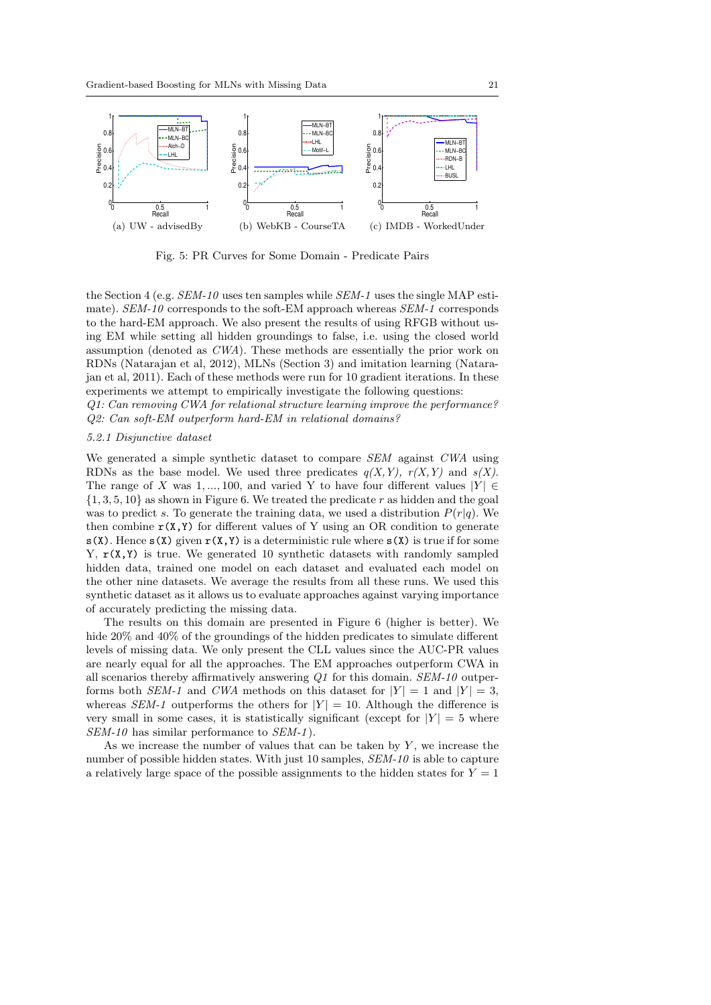

Fig. 5: PR Curves for Some Domain - Predicate Pairs

the Section 4 (e.g. SEM-10 uses ten samples while SEM-1 uses the single MAP estimate). SEM-10 corresponds to the soft-EM approach whereas SEM-1 corresponds to the hard-EM approach. We also present the results of using RFGB without using EM while setting all hidden groundings to false, i.e. using the closed world assumption (denoted as CWA). These methods are essentially the prior work on RDNs (Natarajan et al, 2012), MLNs (Section 3) and imitation learning (Natarajan et al, 2011). Each of these methods were run for 10 gradient iterations. In these experiments we attempt to empirically investigate the following questions:

Q1: Can removing CWA for relational structure learning improve the performance? Q2: Can soft-EM outperform hard-EM in relational domains?

## 5.2.1 Disjunctive dataset

We generated a simple synthetic dataset to compare SEM against CWA using RDNs as the base model. We used three predicates  $q(X, Y)$ ,  $r(X, Y)$  and  $s(X)$ . The range of X was 1, ..., 100, and varied Y to have four different values  $|Y| \in$  $\{1, 3, 5, 10\}$  as shown in Figure 6. We treated the predicate r as hidden and the goal was to predict s. To generate the training data, we used a distribution  $P(r|q)$ . We then combine  $r(X, Y)$  for different values of Y using an OR condition to generate  $s(X)$ . Hence  $s(X)$  given  $r(X,Y)$  is a deterministic rule where  $s(X)$  is true if for some Y,  $r(X, Y)$  is true. We generated 10 synthetic datasets with randomly sampled hidden data, trained one model on each dataset and evaluated each model on the other nine datasets. We average the results from all these runs. We used this synthetic dataset as it allows us to evaluate approaches against varying importance of accurately predicting the missing data.

The results on this domain are presented in Figure 6 (higher is better). We hide 20% and 40% of the groundings of the hidden predicates to simulate different levels of missing data. We only present the CLL values since the AUC-PR values are nearly equal for all the approaches. The EM approaches outperform CWA in all scenarios thereby affirmatively answering Q1 for this domain. SEM-10 outperforms both *SEM-1* and *CWA* methods on this dataset for  $|Y| = 1$  and  $|Y| = 3$ , whereas SEM-1 outperforms the others for  $|Y| = 10$ . Although the difference is very small in some cases, it is statistically significant (except for  $|Y| = 5$  where SEM-10 has similar performance to SEM-1).

As we increase the number of values that can be taken by  $Y$ , we increase the number of possible hidden states. With just 10 samples, SEM-10 is able to capture a relatively large space of the possible assignments to the hidden states for  $Y = 1$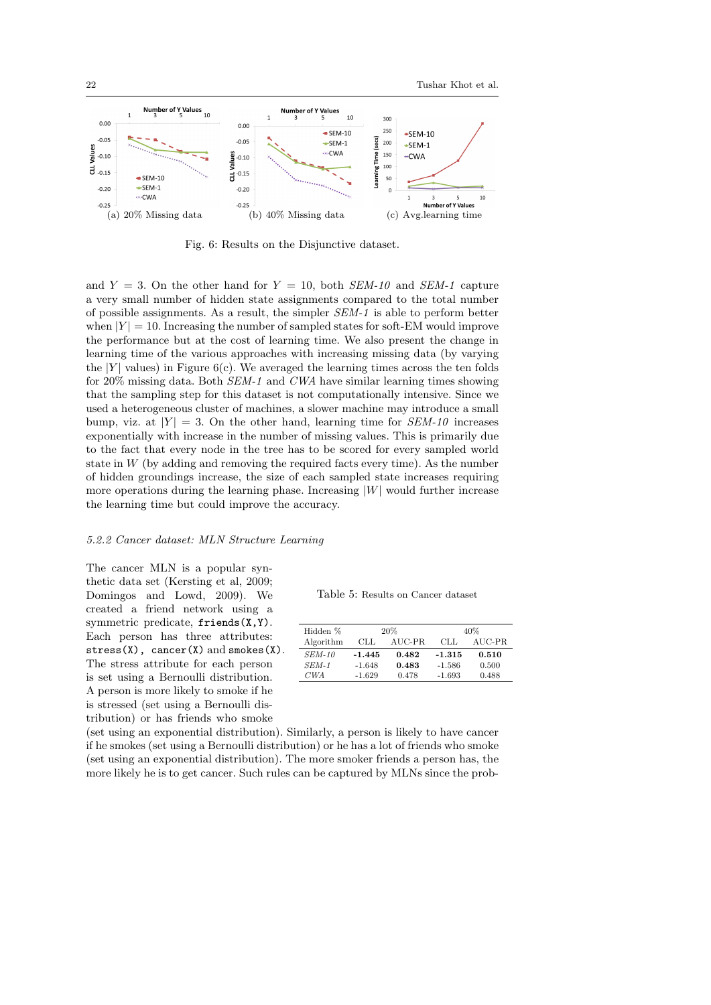

Fig. 6: Results on the Disjunctive dataset.

and  $Y = 3$ . On the other hand for  $Y = 10$ , both *SEM-10* and *SEM-1* capture a very small number of hidden state assignments compared to the total number of possible assignments. As a result, the simpler SEM-1 is able to perform better when  $|Y| = 10$ . Increasing the number of sampled states for soft-EM would improve the performance but at the cost of learning time. We also present the change in learning time of the various approaches with increasing missing data (by varying the  $|Y|$  values) in Figure 6(c). We averaged the learning times across the ten folds for 20% missing data. Both SEM-1 and CWA have similar learning times showing that the sampling step for this dataset is not computationally intensive. Since we used a heterogeneous cluster of machines, a slower machine may introduce a small bump, viz. at  $|Y| = 3$ . On the other hand, learning time for  $SEM$ -10 increases exponentially with increase in the number of missing values. This is primarily due to the fact that every node in the tree has to be scored for every sampled world state in  $W$  (by adding and removing the required facts every time). As the number of hidden groundings increase, the size of each sampled state increases requiring more operations during the learning phase. Increasing  $|W|$  would further increase the learning time but could improve the accuracy.

#### 5.2.2 Cancer dataset: MLN Structure Learning

The cancer MLN is a popular synthetic data set (Kersting et al, 2009; Domingos and Lowd, 2009). We created a friend network using a symmetric predicate, friends(X,Y). Each person has three attributes:  $stress(X)$ , cancer $(X)$  and smokes $(X)$ . The stress attribute for each person is set using a Bernoulli distribution. A person is more likely to smoke if he is stressed (set using a Bernoulli distribution) or has friends who smoke

Table 5: Results on Cancer dataset

| Hidden %      |               | 20%   | 40%      |        |  |
|---------------|---------------|-------|----------|--------|--|
| Algorithm     | AUC-PR<br>CLL |       | CLL      | AUC-PR |  |
| <i>SEM-10</i> | $-1.445$      | 0.482 | $-1.315$ | 0.510  |  |
| $SEM-1$       | $-1.648$      | 0.483 | $-1.586$ | 0.500  |  |
| CWA           | $-1.629$      | 0.478 | $-1.693$ | 0.488  |  |

(set using an exponential distribution). Similarly, a person is likely to have cancer if he smokes (set using a Bernoulli distribution) or he has a lot of friends who smoke (set using an exponential distribution). The more smoker friends a person has, the more likely he is to get cancer. Such rules can be captured by MLNs since the prob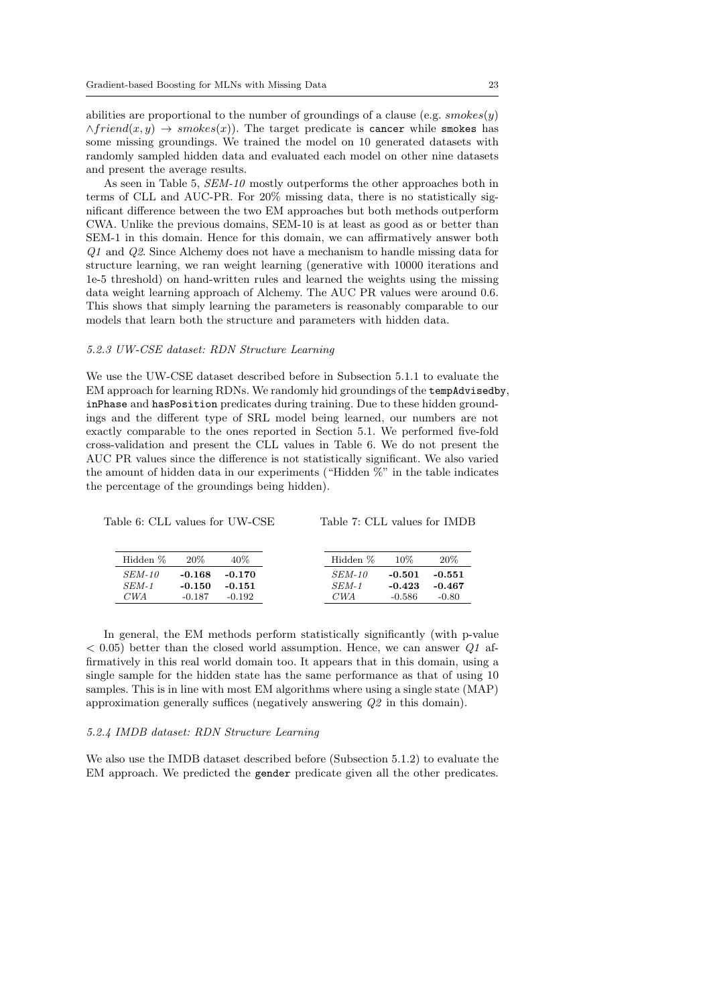abilities are proportional to the number of groundings of a clause (e.g.  $smokes(y)$ )  $\wedge friend(x, y) \rightarrow smokers(x))$ . The target predicate is cancer while smokes has some missing groundings. We trained the model on 10 generated datasets with randomly sampled hidden data and evaluated each model on other nine datasets and present the average results.

As seen in Table 5, SEM-10 mostly outperforms the other approaches both in terms of CLL and AUC-PR. For 20% missing data, there is no statistically significant difference between the two EM approaches but both methods outperform CWA. Unlike the previous domains, SEM-10 is at least as good as or better than SEM-1 in this domain. Hence for this domain, we can affirmatively answer both Q1 and Q2. Since Alchemy does not have a mechanism to handle missing data for structure learning, we ran weight learning (generative with 10000 iterations and 1e-5 threshold) on hand-written rules and learned the weights using the missing data weight learning approach of Alchemy. The AUC PR values were around 0.6. This shows that simply learning the parameters is reasonably comparable to our models that learn both the structure and parameters with hidden data.

## 5.2.3 UW-CSE dataset: RDN Structure Learning

We use the UW-CSE dataset described before in Subsection 5.1.1 to evaluate the EM approach for learning RDNs. We randomly hid groundings of the tempAdvisedby, inPhase and hasPosition predicates during training. Due to these hidden groundings and the different type of SRL model being learned, our numbers are not exactly comparable to the ones reported in Section 5.1. We performed five-fold cross-validation and present the CLL values in Table 6. We do not present the AUC PR values since the difference is not statistically significant. We also varied the amount of hidden data in our experiments ("Hidden %" in the table indicates the percentage of the groundings being hidden).

Table 6: CLL values for UW-CSE

Table 7: CLL values for IMDB

| Hidden %      | 20\%     | 40%      | Hidden %      | $10\%$   | 20%     |
|---------------|----------|----------|---------------|----------|---------|
| <i>SEM-10</i> | $-0.168$ | -0.170   | <i>SEM-10</i> | $-0.501$ | -0.551  |
| $SEM-1$       | $-0.150$ | $-0.151$ | SEM-1         | $-0.423$ | -0.467  |
| CWA           | $-0.187$ | $-0.192$ | CWA           | $-0.586$ | $-0.80$ |

In general, the EM methods perform statistically significantly (with p-value  $<$  0.05) better than the closed world assumption. Hence, we can answer  $Q1$  affirmatively in this real world domain too. It appears that in this domain, using a single sample for the hidden state has the same performance as that of using 10 samples. This is in line with most EM algorithms where using a single state (MAP) approximation generally suffices (negatively answering Q2 in this domain).

#### 5.2.4 IMDB dataset: RDN Structure Learning

We also use the IMDB dataset described before (Subsection 5.1.2) to evaluate the EM approach. We predicted the gender predicate given all the other predicates.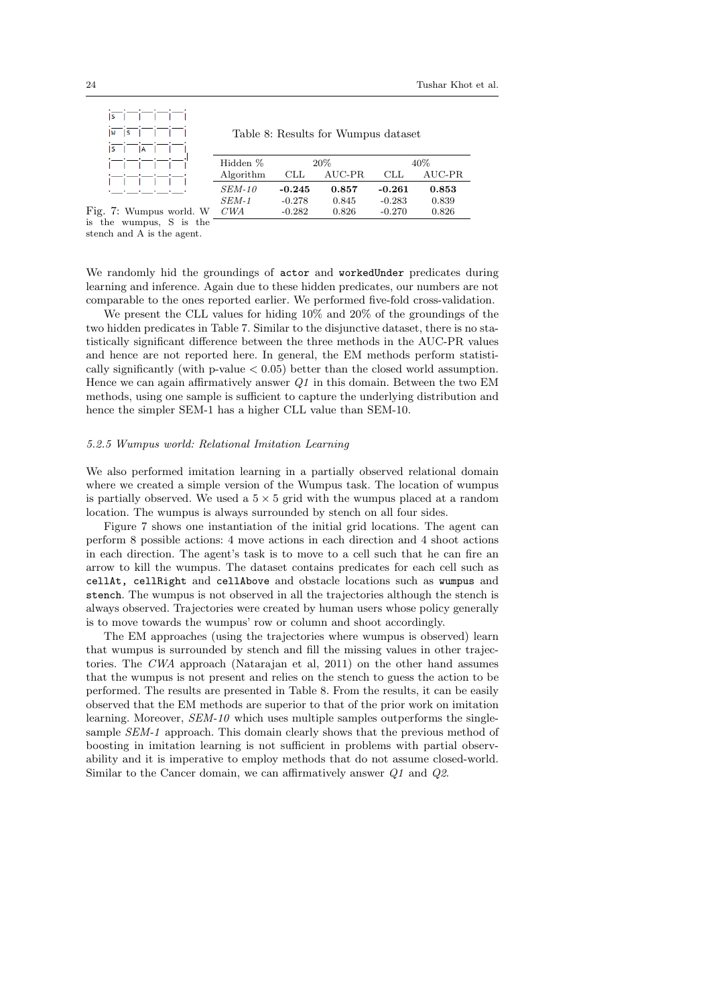| IS I             |              | $\mathbf{I}$ |  |  |
|------------------|--------------|--------------|--|--|
|                  | $ w $ $ s $  |              |  |  |
| $ \overline{s} $ | $\mathbf{1}$ | l A          |  |  |
|                  |              |              |  |  |
|                  |              |              |  |  |
|                  |              |              |  |  |

Table 8: Results for Wumpus dataset

|                                   | Hidden %      |            | $20\%$ |          | $40\%$ |
|-----------------------------------|---------------|------------|--------|----------|--------|
|                                   | Algorithm     | <b>CLL</b> | AUC-PR | CLL.     | AUC-PR |
| <b>Contract Contract Contract</b> | <i>SEM-10</i> | $-0.245$   | 0.857  | $-0.261$ | 0.853  |
|                                   | $SEM-1$       | $-0.278$   | 0.845  | $-0.283$ | 0.839  |
| mpus world. W                     | CWA           | $-0.282$   | 0.826  | $-0.270$ | 0.826  |
|                                   |               |            |        |          |        |

Fig. 7: Wui is the wumpus, S is the stench and A is the agent.

We randomly hid the groundings of actor and workedUnder predicates during learning and inference. Again due to these hidden predicates, our numbers are not comparable to the ones reported earlier. We performed five-fold cross-validation.

We present the CLL values for hiding 10% and 20% of the groundings of the two hidden predicates in Table 7. Similar to the disjunctive dataset, there is no statistically significant difference between the three methods in the AUC-PR values and hence are not reported here. In general, the EM methods perform statistically significantly (with p-value  $< 0.05$ ) better than the closed world assumption. Hence we can again affirmatively answer  $Q1$  in this domain. Between the two EM methods, using one sample is sufficient to capture the underlying distribution and hence the simpler SEM-1 has a higher CLL value than SEM-10.

#### 5.2.5 Wumpus world: Relational Imitation Learning

We also performed imitation learning in a partially observed relational domain where we created a simple version of the Wumpus task. The location of wumpus is partially observed. We used a  $5 \times 5$  grid with the wumpus placed at a random location. The wumpus is always surrounded by stench on all four sides.

Figure 7 shows one instantiation of the initial grid locations. The agent can perform 8 possible actions: 4 move actions in each direction and 4 shoot actions in each direction. The agent's task is to move to a cell such that he can fire an arrow to kill the wumpus. The dataset contains predicates for each cell such as cellAt, cellRight and cellAbove and obstacle locations such as wumpus and stench. The wumpus is not observed in all the trajectories although the stench is always observed. Trajectories were created by human users whose policy generally is to move towards the wumpus' row or column and shoot accordingly.

The EM approaches (using the trajectories where wumpus is observed) learn that wumpus is surrounded by stench and fill the missing values in other trajectories. The CWA approach (Natarajan et al, 2011) on the other hand assumes that the wumpus is not present and relies on the stench to guess the action to be performed. The results are presented in Table 8. From the results, it can be easily observed that the EM methods are superior to that of the prior work on imitation learning. Moreover,  $SEM-10$  which uses multiple samples outperforms the singlesample *SEM-1* approach. This domain clearly shows that the previous method of boosting in imitation learning is not sufficient in problems with partial observability and it is imperative to employ methods that do not assume closed-world. Similar to the Cancer domain, we can affirmatively answer Q1 and Q2.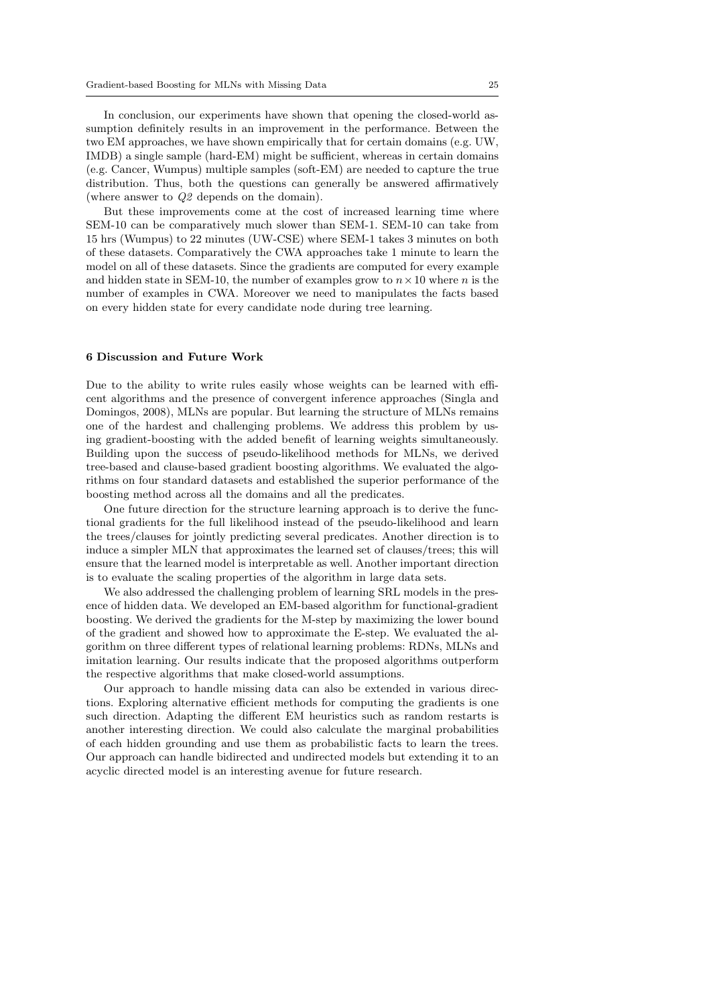In conclusion, our experiments have shown that opening the closed-world assumption definitely results in an improvement in the performance. Between the two EM approaches, we have shown empirically that for certain domains (e.g. UW, IMDB) a single sample (hard-EM) might be sufficient, whereas in certain domains (e.g. Cancer, Wumpus) multiple samples (soft-EM) are needed to capture the true distribution. Thus, both the questions can generally be answered affirmatively (where answer to Q2 depends on the domain).

But these improvements come at the cost of increased learning time where SEM-10 can be comparatively much slower than SEM-1. SEM-10 can take from 15 hrs (Wumpus) to 22 minutes (UW-CSE) where SEM-1 takes 3 minutes on both of these datasets. Comparatively the CWA approaches take 1 minute to learn the model on all of these datasets. Since the gradients are computed for every example and hidden state in SEM-10, the number of examples grow to  $n \times 10$  where n is the number of examples in CWA. Moreover we need to manipulates the facts based on every hidden state for every candidate node during tree learning.

#### 6 Discussion and Future Work

Due to the ability to write rules easily whose weights can be learned with efficent algorithms and the presence of convergent inference approaches (Singla and Domingos, 2008), MLNs are popular. But learning the structure of MLNs remains one of the hardest and challenging problems. We address this problem by using gradient-boosting with the added benefit of learning weights simultaneously. Building upon the success of pseudo-likelihood methods for MLNs, we derived tree-based and clause-based gradient boosting algorithms. We evaluated the algorithms on four standard datasets and established the superior performance of the boosting method across all the domains and all the predicates.

One future direction for the structure learning approach is to derive the functional gradients for the full likelihood instead of the pseudo-likelihood and learn the trees/clauses for jointly predicting several predicates. Another direction is to induce a simpler MLN that approximates the learned set of clauses/trees; this will ensure that the learned model is interpretable as well. Another important direction is to evaluate the scaling properties of the algorithm in large data sets.

We also addressed the challenging problem of learning SRL models in the presence of hidden data. We developed an EM-based algorithm for functional-gradient boosting. We derived the gradients for the M-step by maximizing the lower bound of the gradient and showed how to approximate the E-step. We evaluated the algorithm on three different types of relational learning problems: RDNs, MLNs and imitation learning. Our results indicate that the proposed algorithms outperform the respective algorithms that make closed-world assumptions.

Our approach to handle missing data can also be extended in various directions. Exploring alternative efficient methods for computing the gradients is one such direction. Adapting the different EM heuristics such as random restarts is another interesting direction. We could also calculate the marginal probabilities of each hidden grounding and use them as probabilistic facts to learn the trees. Our approach can handle bidirected and undirected models but extending it to an acyclic directed model is an interesting avenue for future research.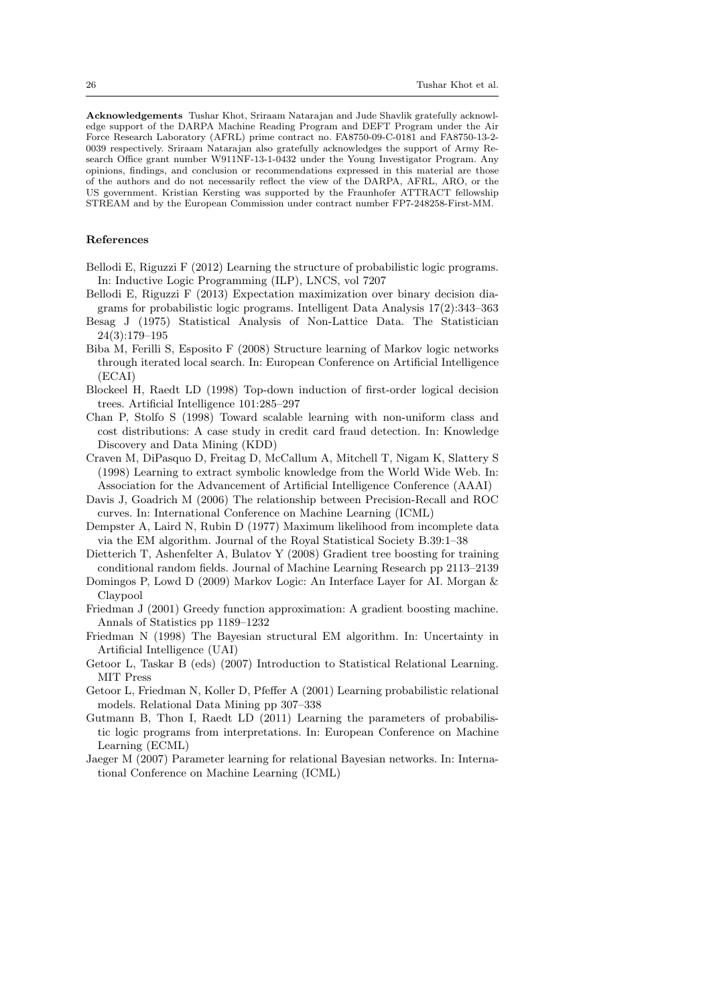Acknowledgements Tushar Khot, Sriraam Natarajan and Jude Shavlik gratefully acknowledge support of the DARPA Machine Reading Program and DEFT Program under the Air Force Research Laboratory (AFRL) prime contract no. FA8750-09-C-0181 and FA8750-13-2- 0039 respectively. Sriraam Natarajan also gratefully acknowledges the support of Army Research Office grant number W911NF-13-1-0432 under the Young Investigator Program. Any opinions, findings, and conclusion or recommendations expressed in this material are those of the authors and do not necessarily reflect the view of the DARPA, AFRL, ARO, or the US government. Kristian Kersting was supported by the Fraunhofer ATTRACT fellowship STREAM and by the European Commission under contract number FP7-248258-First-MM.

#### References

- Bellodi E, Riguzzi F (2012) Learning the structure of probabilistic logic programs. In: Inductive Logic Programming (ILP), LNCS, vol 7207
- Bellodi E, Riguzzi F (2013) Expectation maximization over binary decision diagrams for probabilistic logic programs. Intelligent Data Analysis 17(2):343–363
- Besag J (1975) Statistical Analysis of Non-Lattice Data. The Statistician 24(3):179–195
- Biba M, Ferilli S, Esposito F (2008) Structure learning of Markov logic networks through iterated local search. In: European Conference on Artificial Intelligence (ECAI)
- Blockeel H, Raedt LD (1998) Top-down induction of first-order logical decision trees. Artificial Intelligence 101:285–297
- Chan P, Stolfo S (1998) Toward scalable learning with non-uniform class and cost distributions: A case study in credit card fraud detection. In: Knowledge Discovery and Data Mining (KDD)
- Craven M, DiPasquo D, Freitag D, McCallum A, Mitchell T, Nigam K, Slattery S (1998) Learning to extract symbolic knowledge from the World Wide Web. In: Association for the Advancement of Artificial Intelligence Conference (AAAI)
- Davis J, Goadrich M (2006) The relationship between Precision-Recall and ROC curves. In: International Conference on Machine Learning (ICML)
- Dempster A, Laird N, Rubin D (1977) Maximum likelihood from incomplete data via the EM algorithm. Journal of the Royal Statistical Society B.39:1–38
- Dietterich T, Ashenfelter A, Bulatov Y (2008) Gradient tree boosting for training conditional random fields. Journal of Machine Learning Research pp 2113–2139
- Domingos P, Lowd D (2009) Markov Logic: An Interface Layer for AI. Morgan & Claypool
- Friedman J (2001) Greedy function approximation: A gradient boosting machine. Annals of Statistics pp 1189–1232
- Friedman N (1998) The Bayesian structural EM algorithm. In: Uncertainty in Artificial Intelligence (UAI)
- Getoor L, Taskar B (eds) (2007) Introduction to Statistical Relational Learning. MIT Press
- Getoor L, Friedman N, Koller D, Pfeffer A (2001) Learning probabilistic relational models. Relational Data Mining pp 307–338
- Gutmann B, Thon I, Raedt LD (2011) Learning the parameters of probabilistic logic programs from interpretations. In: European Conference on Machine Learning (ECML)
- Jaeger M (2007) Parameter learning for relational Bayesian networks. In: International Conference on Machine Learning (ICML)